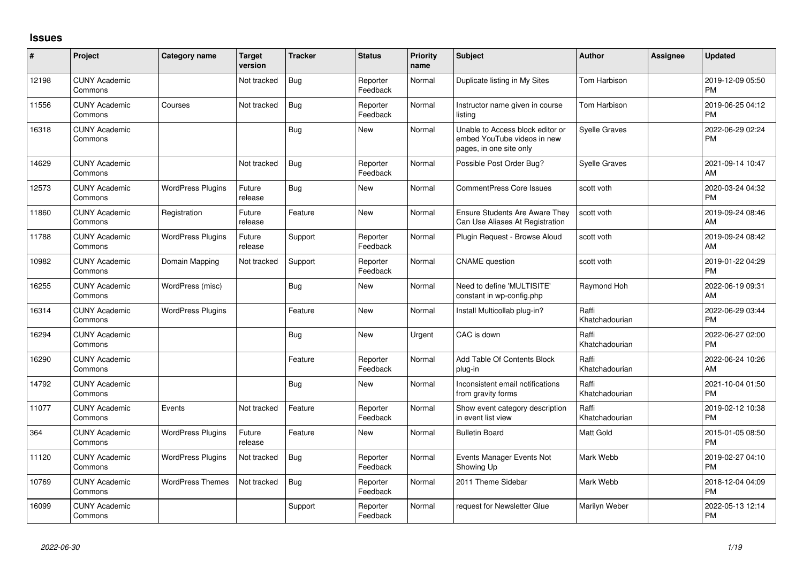## **Issues**

| #     | Project                         | Category name            | <b>Target</b><br>version | <b>Tracker</b> | <b>Status</b>        | <b>Priority</b><br>name | Subject                                                                                    | Author                  | <b>Assignee</b> | <b>Updated</b>                |
|-------|---------------------------------|--------------------------|--------------------------|----------------|----------------------|-------------------------|--------------------------------------------------------------------------------------------|-------------------------|-----------------|-------------------------------|
| 12198 | <b>CUNY Academic</b><br>Commons |                          | Not tracked              | <b>Bug</b>     | Reporter<br>Feedback | Normal                  | Duplicate listing in My Sites                                                              | <b>Tom Harbison</b>     |                 | 2019-12-09 05:50<br><b>PM</b> |
| 11556 | <b>CUNY Academic</b><br>Commons | Courses                  | Not tracked              | Bug            | Reporter<br>Feedback | Normal                  | Instructor name given in course<br>listing                                                 | <b>Tom Harbison</b>     |                 | 2019-06-25 04:12<br><b>PM</b> |
| 16318 | <b>CUNY Academic</b><br>Commons |                          |                          | Bug            | <b>New</b>           | Normal                  | Unable to Access block editor or<br>embed YouTube videos in new<br>pages, in one site only | <b>Syelle Graves</b>    |                 | 2022-06-29 02:24<br><b>PM</b> |
| 14629 | <b>CUNY Academic</b><br>Commons |                          | Not tracked              | Bug            | Reporter<br>Feedback | Normal                  | Possible Post Order Bug?                                                                   | <b>Syelle Graves</b>    |                 | 2021-09-14 10:47<br>AM        |
| 12573 | <b>CUNY Academic</b><br>Commons | <b>WordPress Plugins</b> | Future<br>release        | Bug            | <b>New</b>           | Normal                  | <b>CommentPress Core Issues</b>                                                            | scott voth              |                 | 2020-03-24 04:32<br><b>PM</b> |
| 11860 | <b>CUNY Academic</b><br>Commons | Registration             | Future<br>release        | Feature        | New                  | Normal                  | <b>Ensure Students Are Aware They</b><br>Can Use Aliases At Registration                   | scott voth              |                 | 2019-09-24 08:46<br>AM        |
| 11788 | <b>CUNY Academic</b><br>Commons | <b>WordPress Plugins</b> | Future<br>release        | Support        | Reporter<br>Feedback | Normal                  | Plugin Request - Browse Aloud                                                              | scott voth              |                 | 2019-09-24 08:42<br>AM        |
| 10982 | <b>CUNY Academic</b><br>Commons | Domain Mapping           | Not tracked              | Support        | Reporter<br>Feedback | Normal                  | <b>CNAME</b> question                                                                      | scott voth              |                 | 2019-01-22 04:29<br><b>PM</b> |
| 16255 | <b>CUNY Academic</b><br>Commons | WordPress (misc)         |                          | <b>Bug</b>     | <b>New</b>           | Normal                  | Need to define 'MULTISITE'<br>constant in wp-config.php                                    | Raymond Hoh             |                 | 2022-06-19 09:31<br>AM        |
| 16314 | <b>CUNY Academic</b><br>Commons | <b>WordPress Plugins</b> |                          | Feature        | <b>New</b>           | Normal                  | Install Multicollab plug-in?                                                               | Raffi<br>Khatchadourian |                 | 2022-06-29 03:44<br><b>PM</b> |
| 16294 | <b>CUNY Academic</b><br>Commons |                          |                          | <b>Bug</b>     | <b>New</b>           | Urgent                  | CAC is down                                                                                | Raffi<br>Khatchadourian |                 | 2022-06-27 02:00<br><b>PM</b> |
| 16290 | <b>CUNY Academic</b><br>Commons |                          |                          | Feature        | Reporter<br>Feedback | Normal                  | Add Table Of Contents Block<br>plug-in                                                     | Raffi<br>Khatchadourian |                 | 2022-06-24 10:26<br>AM        |
| 14792 | <b>CUNY Academic</b><br>Commons |                          |                          | Bug            | <b>New</b>           | Normal                  | Inconsistent email notifications<br>from gravity forms                                     | Raffi<br>Khatchadourian |                 | 2021-10-04 01:50<br><b>PM</b> |
| 11077 | <b>CUNY Academic</b><br>Commons | Events                   | Not tracked              | Feature        | Reporter<br>Feedback | Normal                  | Show event category description<br>in event list view                                      | Raffi<br>Khatchadourian |                 | 2019-02-12 10:38<br><b>PM</b> |
| 364   | <b>CUNY Academic</b><br>Commons | <b>WordPress Plugins</b> | Future<br>release        | Feature        | <b>New</b>           | Normal                  | <b>Bulletin Board</b>                                                                      | <b>Matt Gold</b>        |                 | 2015-01-05 08:50<br><b>PM</b> |
| 11120 | <b>CUNY Academic</b><br>Commons | <b>WordPress Plugins</b> | Not tracked              | <b>Bug</b>     | Reporter<br>Feedback | Normal                  | Events Manager Events Not<br>Showing Up                                                    | Mark Webb               |                 | 2019-02-27 04:10<br><b>PM</b> |
| 10769 | <b>CUNY Academic</b><br>Commons | <b>WordPress Themes</b>  | Not tracked              | <b>Bug</b>     | Reporter<br>Feedback | Normal                  | 2011 Theme Sidebar                                                                         | Mark Webb               |                 | 2018-12-04 04:09<br><b>PM</b> |
| 16099 | <b>CUNY Academic</b><br>Commons |                          |                          | Support        | Reporter<br>Feedback | Normal                  | request for Newsletter Glue                                                                | Marilyn Weber           |                 | 2022-05-13 12:14<br><b>PM</b> |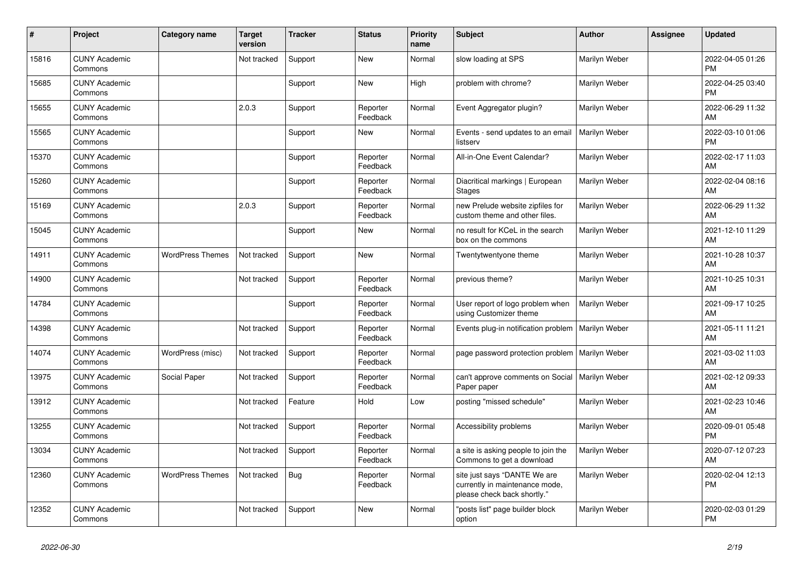| #     | Project                         | <b>Category name</b>    | <b>Target</b><br>version | <b>Tracker</b> | <b>Status</b>        | <b>Priority</b><br>name | <b>Subject</b>                                                                                | <b>Author</b>        | <b>Assignee</b> | <b>Updated</b>                |
|-------|---------------------------------|-------------------------|--------------------------|----------------|----------------------|-------------------------|-----------------------------------------------------------------------------------------------|----------------------|-----------------|-------------------------------|
| 15816 | <b>CUNY Academic</b><br>Commons |                         | Not tracked              | Support        | New                  | Normal                  | slow loading at SPS                                                                           | Marilyn Weber        |                 | 2022-04-05 01:26<br><b>PM</b> |
| 15685 | <b>CUNY Academic</b><br>Commons |                         |                          | Support        | New                  | High                    | problem with chrome?                                                                          | Marilyn Weber        |                 | 2022-04-25 03:40<br><b>PM</b> |
| 15655 | <b>CUNY Academic</b><br>Commons |                         | 2.0.3                    | Support        | Reporter<br>Feedback | Normal                  | Event Aggregator plugin?                                                                      | Marilyn Weber        |                 | 2022-06-29 11:32<br>AM        |
| 15565 | <b>CUNY Academic</b><br>Commons |                         |                          | Support        | <b>New</b>           | Normal                  | Events - send updates to an email<br>listserv                                                 | <b>Marilyn Weber</b> |                 | 2022-03-10 01:06<br><b>PM</b> |
| 15370 | <b>CUNY Academic</b><br>Commons |                         |                          | Support        | Reporter<br>Feedback | Normal                  | All-in-One Event Calendar?                                                                    | Marilyn Weber        |                 | 2022-02-17 11:03<br>AM        |
| 15260 | <b>CUNY Academic</b><br>Commons |                         |                          | Support        | Reporter<br>Feedback | Normal                  | Diacritical markings   European<br><b>Stages</b>                                              | Marilyn Weber        |                 | 2022-02-04 08:16<br>AM        |
| 15169 | <b>CUNY Academic</b><br>Commons |                         | 2.0.3                    | Support        | Reporter<br>Feedback | Normal                  | new Prelude website zipfiles for<br>custom theme and other files.                             | Marilyn Weber        |                 | 2022-06-29 11:32<br>AM        |
| 15045 | <b>CUNY Academic</b><br>Commons |                         |                          | Support        | New                  | Normal                  | no result for KCeL in the search<br>box on the commons                                        | Marilyn Weber        |                 | 2021-12-10 11:29<br>AM        |
| 14911 | <b>CUNY Academic</b><br>Commons | <b>WordPress Themes</b> | Not tracked              | Support        | <b>New</b>           | Normal                  | Twentytwentyone theme                                                                         | Marilyn Weber        |                 | 2021-10-28 10:37<br>AM        |
| 14900 | <b>CUNY Academic</b><br>Commons |                         | Not tracked              | Support        | Reporter<br>Feedback | Normal                  | previous theme?                                                                               | Marilyn Weber        |                 | 2021-10-25 10:31<br>AM        |
| 14784 | <b>CUNY Academic</b><br>Commons |                         |                          | Support        | Reporter<br>Feedback | Normal                  | User report of logo problem when<br>using Customizer theme                                    | Marilyn Weber        |                 | 2021-09-17 10:25<br>AM        |
| 14398 | <b>CUNY Academic</b><br>Commons |                         | Not tracked              | Support        | Reporter<br>Feedback | Normal                  | Events plug-in notification problem                                                           | Marilyn Weber        |                 | 2021-05-11 11:21<br>AM        |
| 14074 | <b>CUNY Academic</b><br>Commons | WordPress (misc)        | Not tracked              | Support        | Reporter<br>Feedback | Normal                  | page password protection problem   Marilyn Weber                                              |                      |                 | 2021-03-02 11:03<br>AM        |
| 13975 | <b>CUNY Academic</b><br>Commons | Social Paper            | Not tracked              | Support        | Reporter<br>Feedback | Normal                  | can't approve comments on Social<br>Paper paper                                               | l Marilvn Weber      |                 | 2021-02-12 09:33<br>AM        |
| 13912 | <b>CUNY Academic</b><br>Commons |                         | Not tracked              | Feature        | Hold                 | Low                     | posting "missed schedule"                                                                     | Marilyn Weber        |                 | 2021-02-23 10:46<br>AM        |
| 13255 | <b>CUNY Academic</b><br>Commons |                         | Not tracked              | Support        | Reporter<br>Feedback | Normal                  | Accessibility problems                                                                        | Marilyn Weber        |                 | 2020-09-01 05:48<br><b>PM</b> |
| 13034 | <b>CUNY Academic</b><br>Commons |                         | Not tracked              | Support        | Reporter<br>Feedback | Normal                  | a site is asking people to join the<br>Commons to get a download                              | Marilyn Weber        |                 | 2020-07-12 07:23<br>AM        |
| 12360 | <b>CUNY Academic</b><br>Commons | <b>WordPress Themes</b> | Not tracked              | <b>Bug</b>     | Reporter<br>Feedback | Normal                  | site just says "DANTE We are<br>currently in maintenance mode,<br>please check back shortly." | Marilyn Weber        |                 | 2020-02-04 12:13<br><b>PM</b> |
| 12352 | <b>CUNY Academic</b><br>Commons |                         | Not tracked              | Support        | <b>New</b>           | Normal                  | 'posts list" page builder block<br>option                                                     | Marilyn Weber        |                 | 2020-02-03 01:29<br><b>PM</b> |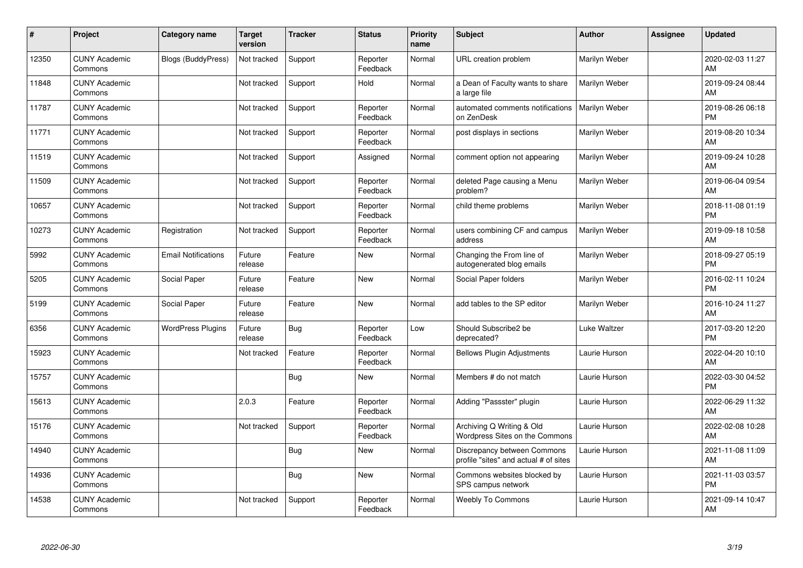| #     | Project                         | <b>Category name</b>       | <b>Target</b><br>version | <b>Tracker</b> | <b>Status</b>        | <b>Priority</b><br>name | <b>Subject</b>                                                       | <b>Author</b> | <b>Assignee</b> | <b>Updated</b>                |
|-------|---------------------------------|----------------------------|--------------------------|----------------|----------------------|-------------------------|----------------------------------------------------------------------|---------------|-----------------|-------------------------------|
| 12350 | <b>CUNY Academic</b><br>Commons | <b>Blogs (BuddyPress)</b>  | Not tracked              | Support        | Reporter<br>Feedback | Normal                  | URL creation problem                                                 | Marilyn Weber |                 | 2020-02-03 11:27<br>AM        |
| 11848 | <b>CUNY Academic</b><br>Commons |                            | Not tracked              | Support        | Hold                 | Normal                  | a Dean of Faculty wants to share<br>a large file                     | Marilyn Weber |                 | 2019-09-24 08:44<br>AM        |
| 11787 | <b>CUNY Academic</b><br>Commons |                            | Not tracked              | Support        | Reporter<br>Feedback | Normal                  | automated comments notifications<br>on ZenDesk                       | Marilyn Weber |                 | 2019-08-26 06:18<br><b>PM</b> |
| 11771 | <b>CUNY Academic</b><br>Commons |                            | Not tracked              | Support        | Reporter<br>Feedback | Normal                  | post displays in sections                                            | Marilyn Weber |                 | 2019-08-20 10:34<br>AM        |
| 11519 | <b>CUNY Academic</b><br>Commons |                            | Not tracked              | Support        | Assigned             | Normal                  | comment option not appearing                                         | Marilyn Weber |                 | 2019-09-24 10:28<br>AM        |
| 11509 | <b>CUNY Academic</b><br>Commons |                            | Not tracked              | Support        | Reporter<br>Feedback | Normal                  | deleted Page causing a Menu<br>problem?                              | Marilyn Weber |                 | 2019-06-04 09:54<br>AM        |
| 10657 | <b>CUNY Academic</b><br>Commons |                            | Not tracked              | Support        | Reporter<br>Feedback | Normal                  | child theme problems                                                 | Marilyn Weber |                 | 2018-11-08 01:19<br><b>PM</b> |
| 10273 | <b>CUNY Academic</b><br>Commons | Registration               | Not tracked              | Support        | Reporter<br>Feedback | Normal                  | users combining CF and campus<br>address                             | Marilyn Weber |                 | 2019-09-18 10:58<br>AM        |
| 5992  | <b>CUNY Academic</b><br>Commons | <b>Email Notifications</b> | Future<br>release        | Feature        | New                  | Normal                  | Changing the From line of<br>autogenerated blog emails               | Marilyn Weber |                 | 2018-09-27 05:19<br><b>PM</b> |
| 5205  | <b>CUNY Academic</b><br>Commons | Social Paper               | Future<br>release        | Feature        | <b>New</b>           | Normal                  | Social Paper folders                                                 | Marilyn Weber |                 | 2016-02-11 10:24<br>PM        |
| 5199  | <b>CUNY Academic</b><br>Commons | Social Paper               | Future<br>release        | Feature        | New                  | Normal                  | add tables to the SP editor                                          | Marilyn Weber |                 | 2016-10-24 11:27<br>AM        |
| 6356  | <b>CUNY Academic</b><br>Commons | <b>WordPress Plugins</b>   | Future<br>release        | Bug            | Reporter<br>Feedback | Low                     | Should Subscribe2 be<br>deprecated?                                  | Luke Waltzer  |                 | 2017-03-20 12:20<br><b>PM</b> |
| 15923 | <b>CUNY Academic</b><br>Commons |                            | Not tracked              | Feature        | Reporter<br>Feedback | Normal                  | <b>Bellows Plugin Adjustments</b>                                    | Laurie Hurson |                 | 2022-04-20 10:10<br><b>AM</b> |
| 15757 | <b>CUNY Academic</b><br>Commons |                            |                          | <b>Bug</b>     | New                  | Normal                  | Members # do not match                                               | Laurie Hurson |                 | 2022-03-30 04:52<br><b>PM</b> |
| 15613 | <b>CUNY Academic</b><br>Commons |                            | 2.0.3                    | Feature        | Reporter<br>Feedback | Normal                  | Adding "Passster" plugin                                             | Laurie Hurson |                 | 2022-06-29 11:32<br>AM        |
| 15176 | <b>CUNY Academic</b><br>Commons |                            | Not tracked              | Support        | Reporter<br>Feedback | Normal                  | Archiving Q Writing & Old<br>Wordpress Sites on the Commons          | Laurie Hurson |                 | 2022-02-08 10:28<br><b>AM</b> |
| 14940 | <b>CUNY Academic</b><br>Commons |                            |                          | <b>Bug</b>     | New                  | Normal                  | Discrepancy between Commons<br>profile "sites" and actual # of sites | Laurie Hurson |                 | 2021-11-08 11:09<br>AM        |
| 14936 | <b>CUNY Academic</b><br>Commons |                            |                          | Bug            | New                  | Normal                  | Commons websites blocked by<br>SPS campus network                    | Laurie Hurson |                 | 2021-11-03 03:57<br><b>PM</b> |
| 14538 | <b>CUNY Academic</b><br>Commons |                            | Not tracked              | Support        | Reporter<br>Feedback | Normal                  | <b>Weebly To Commons</b>                                             | Laurie Hurson |                 | 2021-09-14 10:47<br>AM        |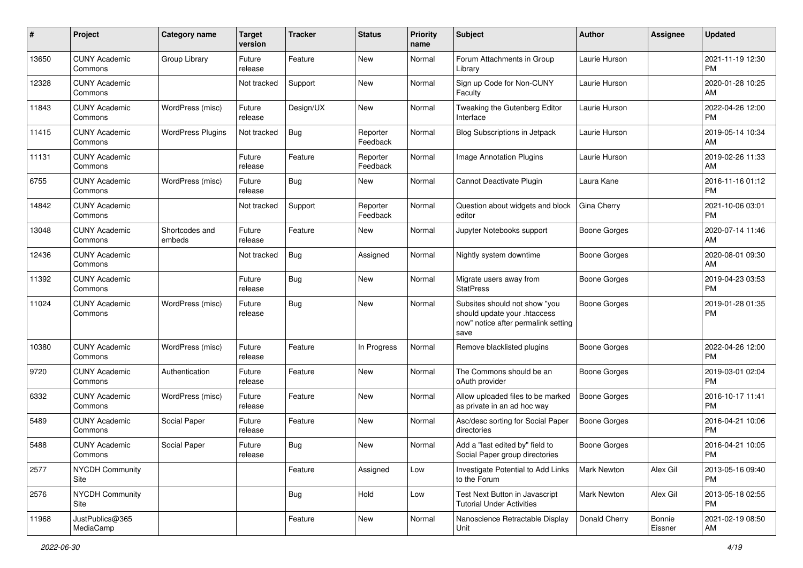| #     | Project                         | <b>Category name</b>     | <b>Target</b><br>version | <b>Tracker</b> | <b>Status</b>        | Priority<br>name | <b>Subject</b>                                                                                               | <b>Author</b>       | <b>Assignee</b>   | <b>Updated</b>                |
|-------|---------------------------------|--------------------------|--------------------------|----------------|----------------------|------------------|--------------------------------------------------------------------------------------------------------------|---------------------|-------------------|-------------------------------|
| 13650 | <b>CUNY Academic</b><br>Commons | Group Library            | Future<br>release        | Feature        | New                  | Normal           | Forum Attachments in Group<br>Library                                                                        | Laurie Hurson       |                   | 2021-11-19 12:30<br>PM.       |
| 12328 | <b>CUNY Academic</b><br>Commons |                          | Not tracked              | Support        | New                  | Normal           | Sign up Code for Non-CUNY<br>Faculty                                                                         | Laurie Hurson       |                   | 2020-01-28 10:25<br>AM.       |
| 11843 | <b>CUNY Academic</b><br>Commons | WordPress (misc)         | Future<br>release        | Design/UX      | New                  | Normal           | Tweaking the Gutenberg Editor<br>Interface                                                                   | Laurie Hurson       |                   | 2022-04-26 12:00<br><b>PM</b> |
| 11415 | <b>CUNY Academic</b><br>Commons | <b>WordPress Plugins</b> | Not tracked              | Bug            | Reporter<br>Feedback | Normal           | Blog Subscriptions in Jetpack                                                                                | Laurie Hurson       |                   | 2019-05-14 10:34<br>AM        |
| 11131 | <b>CUNY Academic</b><br>Commons |                          | Future<br>release        | Feature        | Reporter<br>Feedback | Normal           | <b>Image Annotation Plugins</b>                                                                              | Laurie Hurson       |                   | 2019-02-26 11:33<br>AM        |
| 6755  | <b>CUNY Academic</b><br>Commons | WordPress (misc)         | Future<br>release        | Bug            | New                  | Normal           | Cannot Deactivate Plugin                                                                                     | Laura Kane          |                   | 2016-11-16 01:12<br><b>PM</b> |
| 14842 | <b>CUNY Academic</b><br>Commons |                          | Not tracked              | Support        | Reporter<br>Feedback | Normal           | Question about widgets and block<br>editor                                                                   | Gina Cherry         |                   | 2021-10-06 03:01<br><b>PM</b> |
| 13048 | <b>CUNY Academic</b><br>Commons | Shortcodes and<br>embeds | Future<br>release        | Feature        | New                  | Normal           | Jupyter Notebooks support                                                                                    | <b>Boone Gorges</b> |                   | 2020-07-14 11:46<br>AM.       |
| 12436 | <b>CUNY Academic</b><br>Commons |                          | Not tracked              | Bug            | Assigned             | Normal           | Nightly system downtime                                                                                      | Boone Gorges        |                   | 2020-08-01 09:30<br>AM.       |
| 11392 | <b>CUNY Academic</b><br>Commons |                          | Future<br>release        | Bug            | New                  | Normal           | Migrate users away from<br><b>StatPress</b>                                                                  | Boone Gorges        |                   | 2019-04-23 03:53<br>PM.       |
| 11024 | <b>CUNY Academic</b><br>Commons | WordPress (misc)         | Future<br>release        | Bug            | New                  | Normal           | Subsites should not show "you<br>should update your .htaccess<br>now" notice after permalink setting<br>save | <b>Boone Gorges</b> |                   | 2019-01-28 01:35<br><b>PM</b> |
| 10380 | <b>CUNY Academic</b><br>Commons | WordPress (misc)         | Future<br>release        | Feature        | In Progress          | Normal           | Remove blacklisted plugins                                                                                   | Boone Gorges        |                   | 2022-04-26 12:00<br>PM.       |
| 9720  | <b>CUNY Academic</b><br>Commons | Authentication           | Future<br>release        | Feature        | New                  | Normal           | The Commons should be an<br>oAuth provider                                                                   | Boone Gorges        |                   | 2019-03-01 02:04<br>PM        |
| 6332  | <b>CUNY Academic</b><br>Commons | WordPress (misc)         | Future<br>release        | Feature        | <b>New</b>           | Normal           | Allow uploaded files to be marked<br>as private in an ad hoc way                                             | <b>Boone Gorges</b> |                   | 2016-10-17 11:41<br><b>PM</b> |
| 5489  | <b>CUNY Academic</b><br>Commons | Social Paper             | Future<br>release        | Feature        | New                  | Normal           | Asc/desc sorting for Social Paper<br>directories                                                             | <b>Boone Gorges</b> |                   | 2016-04-21 10:06<br><b>PM</b> |
| 5488  | <b>CUNY Academic</b><br>Commons | Social Paper             | Future<br>release        | Bug            | New                  | Normal           | Add a "last edited by" field to<br>Social Paper group directories                                            | Boone Gorges        |                   | 2016-04-21 10:05<br>PM        |
| 2577  | <b>NYCDH Community</b><br>Site  |                          |                          | Feature        | Assigned             | Low              | Investigate Potential to Add Links<br>to the Forum                                                           | Mark Newton         | Alex Gil          | 2013-05-16 09:40<br><b>PM</b> |
| 2576  | NYCDH Community<br>Site         |                          |                          | <b>Bug</b>     | Hold                 | Low              | Test Next Button in Javascript<br><b>Tutorial Under Activities</b>                                           | Mark Newton         | Alex Gil          | 2013-05-18 02:55<br><b>PM</b> |
| 11968 | JustPublics@365<br>MediaCamp    |                          |                          | Feature        | New                  | Normal           | Nanoscience Retractable Display<br>Unit                                                                      | Donald Cherry       | Bonnie<br>Eissner | 2021-02-19 08:50<br>AM        |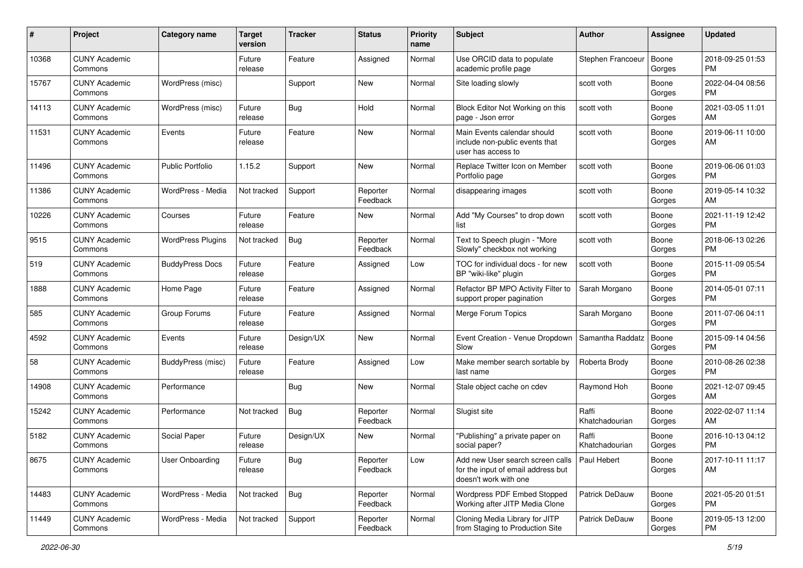| #     | Project                         | <b>Category name</b>     | <b>Target</b><br>version | <b>Tracker</b> | <b>Status</b>        | Priority<br>name | <b>Subject</b>                                                                                  | <b>Author</b>           | <b>Assignee</b> | <b>Updated</b>                |
|-------|---------------------------------|--------------------------|--------------------------|----------------|----------------------|------------------|-------------------------------------------------------------------------------------------------|-------------------------|-----------------|-------------------------------|
| 10368 | <b>CUNY Academic</b><br>Commons |                          | Future<br>release        | Feature        | Assigned             | Normal           | Use ORCID data to populate<br>academic profile page                                             | Stephen Francoeur       | Boone<br>Gorges | 2018-09-25 01:53<br>PM.       |
| 15767 | <b>CUNY Academic</b><br>Commons | WordPress (misc)         |                          | Support        | New                  | Normal           | Site loading slowly                                                                             | scott voth              | Boone<br>Gorges | 2022-04-04 08:56<br><b>PM</b> |
| 14113 | <b>CUNY Academic</b><br>Commons | WordPress (misc)         | Future<br>release        | Bug            | Hold                 | Normal           | Block Editor Not Working on this<br>page - Json error                                           | scott voth              | Boone<br>Gorges | 2021-03-05 11:01<br>AM        |
| 11531 | <b>CUNY Academic</b><br>Commons | Events                   | Future<br>release        | Feature        | New                  | Normal           | Main Events calendar should<br>include non-public events that<br>user has access to             | scott voth              | Boone<br>Gorges | 2019-06-11 10:00<br>AM        |
| 11496 | <b>CUNY Academic</b><br>Commons | <b>Public Portfolio</b>  | 1.15.2                   | Support        | New                  | Normal           | Replace Twitter Icon on Member<br>Portfolio page                                                | scott voth              | Boone<br>Gorges | 2019-06-06 01:03<br>PM.       |
| 11386 | <b>CUNY Academic</b><br>Commons | WordPress - Media        | Not tracked              | Support        | Reporter<br>Feedback | Normal           | disappearing images                                                                             | scott voth              | Boone<br>Gorges | 2019-05-14 10:32<br>AM        |
| 10226 | <b>CUNY Academic</b><br>Commons | Courses                  | Future<br>release        | Feature        | New                  | Normal           | Add "My Courses" to drop down<br>list                                                           | scott voth              | Boone<br>Gorges | 2021-11-19 12:42<br><b>PM</b> |
| 9515  | <b>CUNY Academic</b><br>Commons | <b>WordPress Plugins</b> | Not tracked              | Bug            | Reporter<br>Feedback | Normal           | Text to Speech plugin - "More<br>Slowly" checkbox not working                                   | scott voth              | Boone<br>Gorges | 2018-06-13 02:26<br><b>PM</b> |
| 519   | <b>CUNY Academic</b><br>Commons | <b>BuddyPress Docs</b>   | Future<br>release        | Feature        | Assigned             | Low              | TOC for individual docs - for new<br>BP "wiki-like" plugin                                      | scott voth              | Boone<br>Gorges | 2015-11-09 05:54<br>PM.       |
| 1888  | <b>CUNY Academic</b><br>Commons | Home Page                | Future<br>release        | Feature        | Assigned             | Normal           | Refactor BP MPO Activity Filter to<br>support proper pagination                                 | Sarah Morgano           | Boone<br>Gorges | 2014-05-01 07:11<br><b>PM</b> |
| 585   | <b>CUNY Academic</b><br>Commons | Group Forums             | Future<br>release        | Feature        | Assigned             | Normal           | Merge Forum Topics                                                                              | Sarah Morgano           | Boone<br>Gorges | 2011-07-06 04:11<br>PM.       |
| 4592  | <b>CUNY Academic</b><br>Commons | Events                   | Future<br>release        | Design/UX      | New                  | Normal           | Event Creation - Venue Dropdown<br>Slow                                                         | Samantha Raddatz        | Boone<br>Gorges | 2015-09-14 04:56<br>PM.       |
| 58    | <b>CUNY Academic</b><br>Commons | <b>BuddyPress (misc)</b> | Future<br>release        | Feature        | Assigned             | Low              | Make member search sortable by<br>last name                                                     | Roberta Brody           | Boone<br>Gorges | 2010-08-26 02:38<br><b>PM</b> |
| 14908 | <b>CUNY Academic</b><br>Commons | Performance              |                          | Bug            | New                  | Normal           | Stale object cache on cdev                                                                      | Raymond Hoh             | Boone<br>Gorges | 2021-12-07 09:45<br>AM.       |
| 15242 | <b>CUNY Academic</b><br>Commons | Performance              | Not tracked              | <b>Bug</b>     | Reporter<br>Feedback | Normal           | Slugist site                                                                                    | Raffi<br>Khatchadourian | Boone<br>Gorges | 2022-02-07 11:14<br>AM.       |
| 5182  | <b>CUNY Academic</b><br>Commons | Social Paper             | Future<br>release        | Design/UX      | New                  | Normal           | "Publishing" a private paper on<br>social paper?                                                | Raffi<br>Khatchadourian | Boone<br>Gorges | 2016-10-13 04:12<br><b>PM</b> |
| 8675  | <b>CUNY Academic</b><br>Commons | User Onboarding          | Future<br>release        | <b>Bug</b>     | Reporter<br>Feedback | Low              | Add new User search screen calls<br>for the input of email address but<br>doesn't work with one | Paul Hebert             | Boone<br>Gorges | 2017-10-11 11:17<br>AM        |
| 14483 | <b>CUNY Academic</b><br>Commons | WordPress - Media        | Not tracked              | Bug            | Reporter<br>Feedback | Normal           | Wordpress PDF Embed Stopped<br>Working after JITP Media Clone                                   | Patrick DeDauw          | Boone<br>Gorges | 2021-05-20 01:51<br><b>PM</b> |
| 11449 | <b>CUNY Academic</b><br>Commons | WordPress - Media        | Not tracked              | Support        | Reporter<br>Feedback | Normal           | Cloning Media Library for JITP<br>from Staging to Production Site                               | Patrick DeDauw          | Boone<br>Gorges | 2019-05-13 12:00<br>PM        |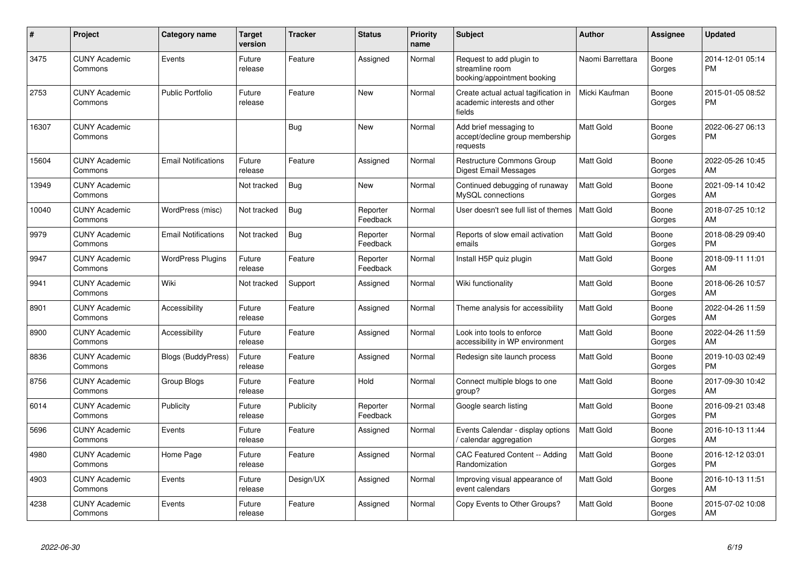| #     | Project                         | <b>Category name</b>       | <b>Target</b><br>version | <b>Tracker</b> | <b>Status</b>        | <b>Priority</b><br>name | <b>Subject</b>                                                                 | <b>Author</b>    | Assignee        | <b>Updated</b>                |
|-------|---------------------------------|----------------------------|--------------------------|----------------|----------------------|-------------------------|--------------------------------------------------------------------------------|------------------|-----------------|-------------------------------|
| 3475  | <b>CUNY Academic</b><br>Commons | Events                     | Future<br>release        | Feature        | Assigned             | Normal                  | Request to add plugin to<br>streamline room<br>booking/appointment booking     | Naomi Barrettara | Boone<br>Gorges | 2014-12-01 05:14<br><b>PM</b> |
| 2753  | <b>CUNY Academic</b><br>Commons | <b>Public Portfolio</b>    | Future<br>release        | Feature        | <b>New</b>           | Normal                  | Create actual actual tagification in<br>academic interests and other<br>fields | Micki Kaufman    | Boone<br>Gorges | 2015-01-05 08:52<br><b>PM</b> |
| 16307 | <b>CUNY Academic</b><br>Commons |                            |                          | Bug            | <b>New</b>           | Normal                  | Add brief messaging to<br>accept/decline group membership<br>requests          | <b>Matt Gold</b> | Boone<br>Gorges | 2022-06-27 06:13<br>PM        |
| 15604 | <b>CUNY Academic</b><br>Commons | <b>Email Notifications</b> | Future<br>release        | Feature        | Assigned             | Normal                  | <b>Restructure Commons Group</b><br><b>Digest Email Messages</b>               | <b>Matt Gold</b> | Boone<br>Gorges | 2022-05-26 10:45<br>AM        |
| 13949 | <b>CUNY Academic</b><br>Commons |                            | Not tracked              | <b>Bug</b>     | New                  | Normal                  | Continued debugging of runaway<br>MySQL connections                            | <b>Matt Gold</b> | Boone<br>Gorges | 2021-09-14 10:42<br><b>AM</b> |
| 10040 | <b>CUNY Academic</b><br>Commons | WordPress (misc)           | Not tracked              | Bug            | Reporter<br>Feedback | Normal                  | User doesn't see full list of themes                                           | <b>Matt Gold</b> | Boone<br>Gorges | 2018-07-25 10:12<br><b>AM</b> |
| 9979  | <b>CUNY Academic</b><br>Commons | <b>Email Notifications</b> | Not tracked              | Bug            | Reporter<br>Feedback | Normal                  | Reports of slow email activation<br>emails                                     | <b>Matt Gold</b> | Boone<br>Gorges | 2018-08-29 09:40<br><b>PM</b> |
| 9947  | <b>CUNY Academic</b><br>Commons | <b>WordPress Plugins</b>   | Future<br>release        | Feature        | Reporter<br>Feedback | Normal                  | Install H5P quiz plugin                                                        | <b>Matt Gold</b> | Boone<br>Gorges | 2018-09-11 11:01<br>AM        |
| 9941  | <b>CUNY Academic</b><br>Commons | Wiki                       | Not tracked              | Support        | Assigned             | Normal                  | Wiki functionality                                                             | <b>Matt Gold</b> | Boone<br>Gorges | 2018-06-26 10:57<br>AM        |
| 8901  | <b>CUNY Academic</b><br>Commons | Accessibility              | Future<br>release        | Feature        | Assigned             | Normal                  | Theme analysis for accessibility                                               | <b>Matt Gold</b> | Boone<br>Gorges | 2022-04-26 11:59<br>AM        |
| 8900  | <b>CUNY Academic</b><br>Commons | Accessibility              | Future<br>release        | Feature        | Assigned             | Normal                  | Look into tools to enforce<br>accessibility in WP environment                  | Matt Gold        | Boone<br>Gorges | 2022-04-26 11:59<br>AM        |
| 8836  | <b>CUNY Academic</b><br>Commons | <b>Blogs (BuddyPress)</b>  | Future<br>release        | Feature        | Assigned             | Normal                  | Redesign site launch process                                                   | Matt Gold        | Boone<br>Gorges | 2019-10-03 02:49<br><b>PM</b> |
| 8756  | <b>CUNY Academic</b><br>Commons | Group Blogs                | Future<br>release        | Feature        | Hold                 | Normal                  | Connect multiple blogs to one<br>group?                                        | <b>Matt Gold</b> | Boone<br>Gorges | 2017-09-30 10:42<br>AM        |
| 6014  | <b>CUNY Academic</b><br>Commons | Publicity                  | Future<br>release        | Publicity      | Reporter<br>Feedback | Normal                  | Google search listing                                                          | <b>Matt Gold</b> | Boone<br>Gorges | 2016-09-21 03:48<br><b>PM</b> |
| 5696  | <b>CUNY Academic</b><br>Commons | Events                     | Future<br>release        | Feature        | Assigned             | Normal                  | Events Calendar - display options<br>/ calendar aggregation                    | <b>Matt Gold</b> | Boone<br>Gorges | 2016-10-13 11:44<br>AM        |
| 4980  | <b>CUNY Academic</b><br>Commons | Home Page                  | Future<br>release        | Feature        | Assigned             | Normal                  | <b>CAC Featured Content -- Adding</b><br>Randomization                         | <b>Matt Gold</b> | Boone<br>Gorges | 2016-12-12 03:01<br><b>PM</b> |
| 4903  | <b>CUNY Academic</b><br>Commons | Events                     | Future<br>release        | Design/UX      | Assigned             | Normal                  | Improving visual appearance of<br>event calendars                              | Matt Gold        | Boone<br>Gorges | 2016-10-13 11:51<br>AM        |
| 4238  | <b>CUNY Academic</b><br>Commons | Events                     | Future<br>release        | Feature        | Assigned             | Normal                  | Copy Events to Other Groups?                                                   | Matt Gold        | Boone<br>Gorges | 2015-07-02 10:08<br>AM        |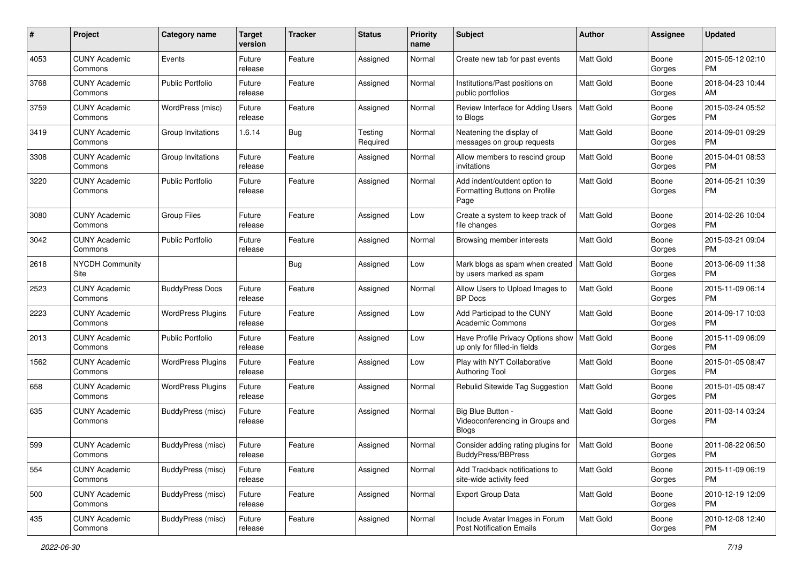| #    | Project                         | <b>Category name</b>     | <b>Target</b><br>version | <b>Tracker</b> | <b>Status</b>       | <b>Priority</b><br>name | <b>Subject</b>                                                                | Author           | Assignee        | <b>Updated</b>                |
|------|---------------------------------|--------------------------|--------------------------|----------------|---------------------|-------------------------|-------------------------------------------------------------------------------|------------------|-----------------|-------------------------------|
| 4053 | <b>CUNY Academic</b><br>Commons | Events                   | Future<br>release        | Feature        | Assigned            | Normal                  | Create new tab for past events                                                | <b>Matt Gold</b> | Boone<br>Gorges | 2015-05-12 02:10<br>PM.       |
| 3768 | <b>CUNY Academic</b><br>Commons | <b>Public Portfolio</b>  | Future<br>release        | Feature        | Assigned            | Normal                  | Institutions/Past positions on<br>public portfolios                           | Matt Gold        | Boone<br>Gorges | 2018-04-23 10:44<br>AM        |
| 3759 | CUNY Academic<br>Commons        | WordPress (misc)         | Future<br>release        | Feature        | Assigned            | Normal                  | Review Interface for Adding Users<br>to Blogs                                 | <b>Matt Gold</b> | Boone<br>Gorges | 2015-03-24 05:52<br><b>PM</b> |
| 3419 | <b>CUNY Academic</b><br>Commons | Group Invitations        | 1.6.14                   | <b>Bug</b>     | Testing<br>Required | Normal                  | Neatening the display of<br>messages on group requests                        | <b>Matt Gold</b> | Boone<br>Gorges | 2014-09-01 09:29<br><b>PM</b> |
| 3308 | <b>CUNY Academic</b><br>Commons | Group Invitations        | Future<br>release        | Feature        | Assigned            | Normal                  | Allow members to rescind group<br>invitations                                 | <b>Matt Gold</b> | Boone<br>Gorges | 2015-04-01 08:53<br><b>PM</b> |
| 3220 | <b>CUNY Academic</b><br>Commons | <b>Public Portfolio</b>  | Future<br>release        | Feature        | Assigned            | Normal                  | Add indent/outdent option to<br>Formatting Buttons on Profile<br>Page         | Matt Gold        | Boone<br>Gorges | 2014-05-21 10:39<br><b>PM</b> |
| 3080 | <b>CUNY Academic</b><br>Commons | <b>Group Files</b>       | Future<br>release        | Feature        | Assigned            | Low                     | Create a system to keep track of<br>file changes                              | <b>Matt Gold</b> | Boone<br>Gorges | 2014-02-26 10:04<br><b>PM</b> |
| 3042 | <b>CUNY Academic</b><br>Commons | <b>Public Portfolio</b>  | Future<br>release        | Feature        | Assigned            | Normal                  | Browsing member interests                                                     | Matt Gold        | Boone<br>Gorges | 2015-03-21 09:04<br><b>PM</b> |
| 2618 | <b>NYCDH Community</b><br>Site  |                          |                          | Bug            | Assigned            | Low                     | Mark blogs as spam when created<br>by users marked as spam                    | Matt Gold        | Boone<br>Gorges | 2013-06-09 11:38<br>PM.       |
| 2523 | <b>CUNY Academic</b><br>Commons | <b>BuddyPress Docs</b>   | Future<br>release        | Feature        | Assigned            | Normal                  | Allow Users to Upload Images to<br><b>BP</b> Docs                             | <b>Matt Gold</b> | Boone<br>Gorges | 2015-11-09 06:14<br><b>PM</b> |
| 2223 | CUNY Academic<br>Commons        | <b>WordPress Plugins</b> | Future<br>release        | Feature        | Assigned            | Low                     | Add Participad to the CUNY<br><b>Academic Commons</b>                         | Matt Gold        | Boone<br>Gorges | 2014-09-17 10:03<br><b>PM</b> |
| 2013 | <b>CUNY Academic</b><br>Commons | <b>Public Portfolio</b>  | Future<br>release        | Feature        | Assigned            | Low                     | Have Profile Privacy Options show   Matt Gold<br>up only for filled-in fields |                  | Boone<br>Gorges | 2015-11-09 06:09<br><b>PM</b> |
| 1562 | <b>CUNY Academic</b><br>Commons | <b>WordPress Plugins</b> | Future<br>release        | Feature        | Assigned            | Low                     | Play with NYT Collaborative<br>Authoring Tool                                 | <b>Matt Gold</b> | Boone<br>Gorges | 2015-01-05 08:47<br><b>PM</b> |
| 658  | <b>CUNY Academic</b><br>Commons | <b>WordPress Plugins</b> | Future<br>release        | Feature        | Assigned            | Normal                  | Rebulid Sitewide Tag Suggestion                                               | <b>Matt Gold</b> | Boone<br>Gorges | 2015-01-05 08:47<br><b>PM</b> |
| 635  | CUNY Academic<br>Commons        | BuddyPress (misc)        | Future<br>release        | Feature        | Assigned            | Normal                  | Big Blue Button -<br>Videoconferencing in Groups and<br><b>Blogs</b>          | <b>Matt Gold</b> | Boone<br>Gorges | 2011-03-14 03:24<br><b>PM</b> |
| 599  | CUNY Academic<br>Commons        | BuddyPress (misc)        | Future<br>release        | Feature        | Assigned            | Normal                  | Consider adding rating plugins for<br>BuddyPress/BBPress                      | <b>Matt Gold</b> | Boone<br>Gorges | 2011-08-22 06:50<br>PM        |
| 554  | <b>CUNY Academic</b><br>Commons | BuddyPress (misc)        | Future<br>release        | Feature        | Assigned            | Normal                  | Add Trackback notifications to<br>site-wide activity feed                     | Matt Gold        | Boone<br>Gorges | 2015-11-09 06:19<br><b>PM</b> |
| 500  | <b>CUNY Academic</b><br>Commons | BuddyPress (misc)        | Future<br>release        | Feature        | Assigned            | Normal                  | Export Group Data                                                             | Matt Gold        | Boone<br>Gorges | 2010-12-19 12:09<br><b>PM</b> |
| 435  | <b>CUNY Academic</b><br>Commons | BuddyPress (misc)        | Future<br>release        | Feature        | Assigned            | Normal                  | Include Avatar Images in Forum<br><b>Post Notification Emails</b>             | Matt Gold        | Boone<br>Gorges | 2010-12-08 12:40<br>PM        |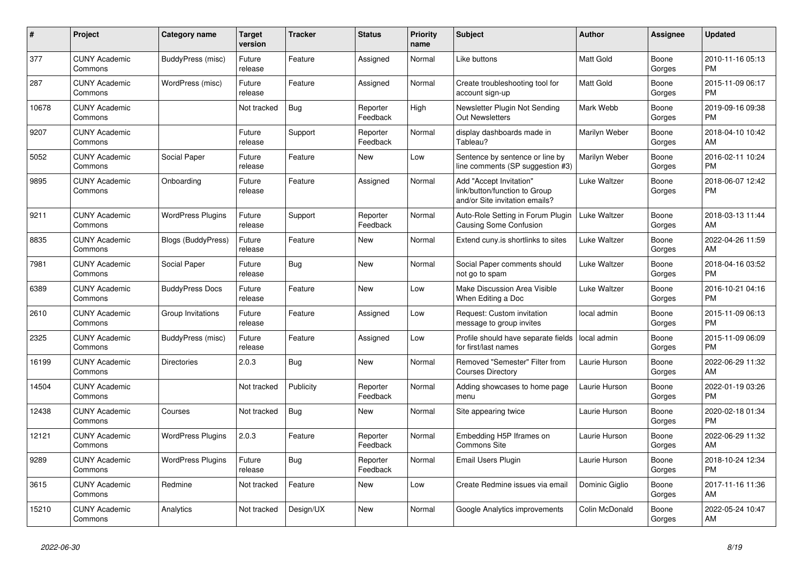| #     | <b>Project</b>                  | Category name             | Target<br>version | <b>Tracker</b> | <b>Status</b>        | <b>Priority</b><br>name | <b>Subject</b>                                                                             | <b>Author</b>  | Assignee        | <b>Updated</b>                |
|-------|---------------------------------|---------------------------|-------------------|----------------|----------------------|-------------------------|--------------------------------------------------------------------------------------------|----------------|-----------------|-------------------------------|
| 377   | <b>CUNY Academic</b><br>Commons | BuddyPress (misc)         | Future<br>release | Feature        | Assigned             | Normal                  | Like buttons                                                                               | Matt Gold      | Boone<br>Gorges | 2010-11-16 05:13<br><b>PM</b> |
| 287   | <b>CUNY Academic</b><br>Commons | WordPress (misc)          | Future<br>release | Feature        | Assigned             | Normal                  | Create troubleshooting tool for<br>account sign-up                                         | Matt Gold      | Boone<br>Gorges | 2015-11-09 06:17<br>PM.       |
| 10678 | <b>CUNY Academic</b><br>Commons |                           | Not tracked       | <b>Bug</b>     | Reporter<br>Feedback | High                    | Newsletter Plugin Not Sending<br><b>Out Newsletters</b>                                    | Mark Webb      | Boone<br>Gorges | 2019-09-16 09:38<br><b>PM</b> |
| 9207  | <b>CUNY Academic</b><br>Commons |                           | Future<br>release | Support        | Reporter<br>Feedback | Normal                  | display dashboards made in<br>Tableau?                                                     | Marilyn Weber  | Boone<br>Gorges | 2018-04-10 10:42<br><b>AM</b> |
| 5052  | <b>CUNY Academic</b><br>Commons | Social Paper              | Future<br>release | Feature        | New                  | Low                     | Sentence by sentence or line by<br>line comments (SP suggestion #3)                        | Marilyn Weber  | Boone<br>Gorges | 2016-02-11 10:24<br>PM.       |
| 9895  | <b>CUNY Academic</b><br>Commons | Onboarding                | Future<br>release | Feature        | Assigned             | Normal                  | Add "Accept Invitation"<br>link/button/function to Group<br>and/or Site invitation emails? | Luke Waltzer   | Boone<br>Gorges | 2018-06-07 12:42<br><b>PM</b> |
| 9211  | <b>CUNY Academic</b><br>Commons | <b>WordPress Plugins</b>  | Future<br>release | Support        | Reporter<br>Feedback | Normal                  | Auto-Role Setting in Forum Plugin<br><b>Causing Some Confusion</b>                         | Luke Waltzer   | Boone<br>Gorges | 2018-03-13 11:44<br>AM        |
| 8835  | <b>CUNY Academic</b><br>Commons | <b>Blogs (BuddyPress)</b> | Future<br>release | Feature        | New                  | Normal                  | Extend cuny is shortlinks to sites                                                         | Luke Waltzer   | Boone<br>Gorges | 2022-04-26 11:59<br>AM        |
| 7981  | <b>CUNY Academic</b><br>Commons | Social Paper              | Future<br>release | <b>Bug</b>     | New                  | Normal                  | Social Paper comments should<br>not go to spam                                             | Luke Waltzer   | Boone<br>Gorges | 2018-04-16 03:52<br><b>PM</b> |
| 6389  | <b>CUNY Academic</b><br>Commons | <b>BuddyPress Docs</b>    | Future<br>release | Feature        | <b>New</b>           | Low                     | <b>Make Discussion Area Visible</b><br>When Editing a Doc                                  | Luke Waltzer   | Boone<br>Gorges | 2016-10-21 04:16<br><b>PM</b> |
| 2610  | <b>CUNY Academic</b><br>Commons | Group Invitations         | Future<br>release | Feature        | Assigned             | Low                     | Request: Custom invitation<br>message to group invites                                     | local admin    | Boone<br>Gorges | 2015-11-09 06:13<br><b>PM</b> |
| 2325  | <b>CUNY Academic</b><br>Commons | BuddyPress (misc)         | Future<br>release | Feature        | Assigned             | Low                     | Profile should have separate fields<br>for first/last names                                | local admin    | Boone<br>Gorges | 2015-11-09 06:09<br><b>PM</b> |
| 16199 | <b>CUNY Academic</b><br>Commons | Directories               | 2.0.3             | Bug            | <b>New</b>           | Normal                  | Removed "Semester" Filter from<br><b>Courses Directory</b>                                 | Laurie Hurson  | Boone<br>Gorges | 2022-06-29 11:32<br>AM        |
| 14504 | <b>CUNY Academic</b><br>Commons |                           | Not tracked       | Publicity      | Reporter<br>Feedback | Normal                  | Adding showcases to home page<br>menu                                                      | Laurie Hurson  | Boone<br>Gorges | 2022-01-19 03:26<br><b>PM</b> |
| 12438 | <b>CUNY Academic</b><br>Commons | Courses                   | Not tracked       | Bug            | New                  | Normal                  | Site appearing twice                                                                       | Laurie Hurson  | Boone<br>Gorges | 2020-02-18 01:34<br><b>PM</b> |
| 12121 | <b>CUNY Academic</b><br>Commons | <b>WordPress Plugins</b>  | 2.0.3             | Feature        | Reporter<br>Feedback | Normal                  | Embedding H5P Iframes on<br><b>Commons Site</b>                                            | Laurie Hurson  | Boone<br>Gorges | 2022-06-29 11:32<br>AM        |
| 9289  | <b>CUNY Academic</b><br>Commons | <b>WordPress Plugins</b>  | Future<br>release | Bug            | Reporter<br>Feedback | Normal                  | Email Users Plugin                                                                         | Laurie Hurson  | Boone<br>Gorges | 2018-10-24 12:34<br><b>PM</b> |
| 3615  | <b>CUNY Academic</b><br>Commons | Redmine                   | Not tracked       | Feature        | New                  | Low                     | Create Redmine issues via email                                                            | Dominic Giglio | Boone<br>Gorges | 2017-11-16 11:36<br>AM.       |
| 15210 | <b>CUNY Academic</b><br>Commons | Analytics                 | Not tracked       | Design/UX      | <b>New</b>           | Normal                  | Google Analytics improvements                                                              | Colin McDonald | Boone<br>Gorges | 2022-05-24 10:47<br>AM        |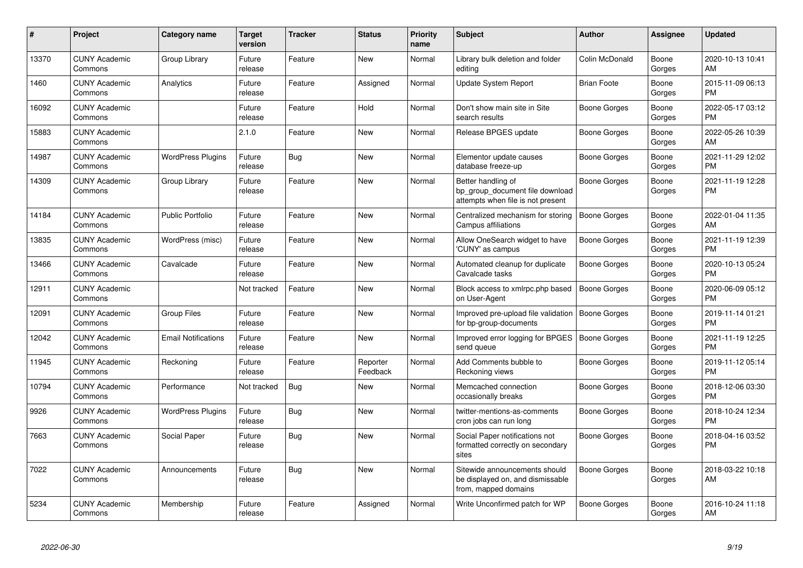| #     | <b>Project</b>                  | <b>Category name</b>       | <b>Target</b><br>version | <b>Tracker</b> | <b>Status</b>        | <b>Priority</b><br>name | <b>Subject</b>                                                                             | Author              | Assignee        | <b>Updated</b>                |
|-------|---------------------------------|----------------------------|--------------------------|----------------|----------------------|-------------------------|--------------------------------------------------------------------------------------------|---------------------|-----------------|-------------------------------|
| 13370 | <b>CUNY Academic</b><br>Commons | Group Library              | Future<br>release        | Feature        | <b>New</b>           | Normal                  | Library bulk deletion and folder<br>editing                                                | Colin McDonald      | Boone<br>Gorges | 2020-10-13 10:41<br>AM        |
| 1460  | <b>CUNY Academic</b><br>Commons | Analytics                  | Future<br>release        | Feature        | Assigned             | Normal                  | Update System Report                                                                       | <b>Brian Foote</b>  | Boone<br>Gorges | 2015-11-09 06:13<br><b>PM</b> |
| 16092 | <b>CUNY Academic</b><br>Commons |                            | Future<br>release        | Feature        | Hold                 | Normal                  | Don't show main site in Site<br>search results                                             | Boone Gorges        | Boone<br>Gorges | 2022-05-17 03:12<br><b>PM</b> |
| 15883 | <b>CUNY Academic</b><br>Commons |                            | 2.1.0                    | Feature        | New                  | Normal                  | Release BPGES update                                                                       | Boone Gorges        | Boone<br>Gorges | 2022-05-26 10:39<br>AM        |
| 14987 | <b>CUNY Academic</b><br>Commons | <b>WordPress Plugins</b>   | Future<br>release        | Bug            | New                  | Normal                  | Elementor update causes<br>database freeze-up                                              | Boone Gorges        | Boone<br>Gorges | 2021-11-29 12:02<br><b>PM</b> |
| 14309 | <b>CUNY Academic</b><br>Commons | Group Library              | Future<br>release        | Feature        | New                  | Normal                  | Better handling of<br>bp_group_document file download<br>attempts when file is not present | Boone Gorges        | Boone<br>Gorges | 2021-11-19 12:28<br><b>PM</b> |
| 14184 | <b>CUNY Academic</b><br>Commons | Public Portfolio           | Future<br>release        | Feature        | <b>New</b>           | Normal                  | Centralized mechanism for storing<br>Campus affiliations                                   | Boone Gorges        | Boone<br>Gorges | 2022-01-04 11:35<br>AM        |
| 13835 | <b>CUNY Academic</b><br>Commons | WordPress (misc)           | Future<br>release        | Feature        | New                  | Normal                  | Allow OneSearch widget to have<br>'CUNY' as campus                                         | Boone Gorges        | Boone<br>Gorges | 2021-11-19 12:39<br><b>PM</b> |
| 13466 | <b>CUNY Academic</b><br>Commons | Cavalcade                  | Future<br>release        | Feature        | New                  | Normal                  | Automated cleanup for duplicate<br>Cavalcade tasks                                         | Boone Gorges        | Boone<br>Gorges | 2020-10-13 05:24<br><b>PM</b> |
| 12911 | <b>CUNY Academic</b><br>Commons |                            | Not tracked              | Feature        | <b>New</b>           | Normal                  | Block access to xmlrpc.php based<br>on User-Agent                                          | <b>Boone Gorges</b> | Boone<br>Gorges | 2020-06-09 05:12<br><b>PM</b> |
| 12091 | <b>CUNY Academic</b><br>Commons | <b>Group Files</b>         | Future<br>release        | Feature        | New                  | Normal                  | Improved pre-upload file validation<br>for bp-group-documents                              | <b>Boone Gorges</b> | Boone<br>Gorges | 2019-11-14 01:21<br><b>PM</b> |
| 12042 | <b>CUNY Academic</b><br>Commons | <b>Email Notifications</b> | Future<br>release        | Feature        | <b>New</b>           | Normal                  | Improved error logging for BPGES<br>send queue                                             | <b>Boone Gorges</b> | Boone<br>Gorges | 2021-11-19 12:25<br><b>PM</b> |
| 11945 | <b>CUNY Academic</b><br>Commons | Reckoning                  | Future<br>release        | Feature        | Reporter<br>Feedback | Normal                  | Add Comments bubble to<br>Reckoning views                                                  | Boone Gorges        | Boone<br>Gorges | 2019-11-12 05:14<br><b>PM</b> |
| 10794 | <b>CUNY Academic</b><br>Commons | Performance                | Not tracked              | <b>Bug</b>     | New                  | Normal                  | Memcached connection<br>occasionally breaks                                                | Boone Gorges        | Boone<br>Gorges | 2018-12-06 03:30<br><b>PM</b> |
| 9926  | <b>CUNY Academic</b><br>Commons | <b>WordPress Plugins</b>   | Future<br>release        | Bug            | New                  | Normal                  | twitter-mentions-as-comments<br>cron jobs can run long                                     | Boone Gorges        | Boone<br>Gorges | 2018-10-24 12:34<br><b>PM</b> |
| 7663  | <b>CUNY Academic</b><br>Commons | Social Paper               | Future<br>release        | Bug            | New                  | Normal                  | Social Paper notifications not<br>formatted correctly on secondary<br>sites                | Boone Gorges        | Boone<br>Gorges | 2018-04-16 03:52<br><b>PM</b> |
| 7022  | <b>CUNY Academic</b><br>Commons | Announcements              | Future<br>release        | Bug            | <b>New</b>           | Normal                  | Sitewide announcements should<br>be displayed on, and dismissable<br>from, mapped domains  | Boone Gorges        | Boone<br>Gorges | 2018-03-22 10:18<br>AM        |
| 5234  | <b>CUNY Academic</b><br>Commons | Membership                 | Future<br>release        | Feature        | Assigned             | Normal                  | Write Unconfirmed patch for WP                                                             | Boone Gorges        | Boone<br>Gorges | 2016-10-24 11:18<br>AM        |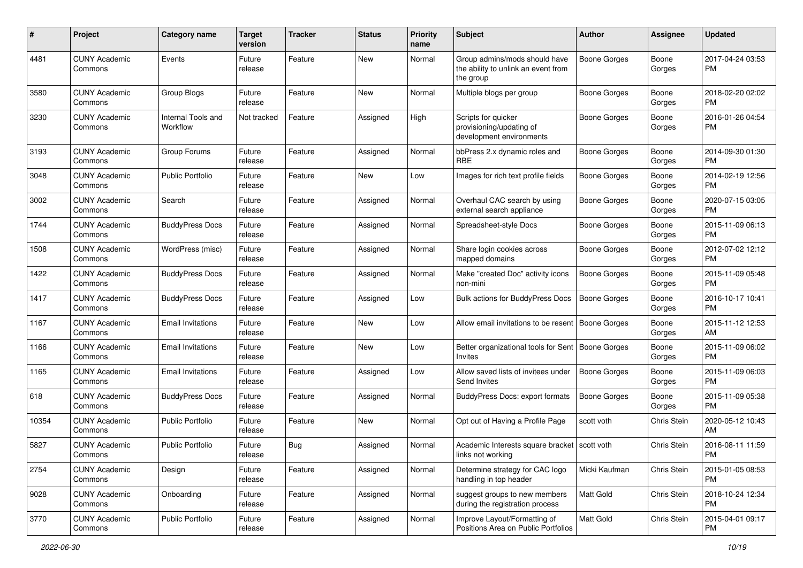| #     | Project                         | <b>Category name</b>           | <b>Target</b><br>version | <b>Tracker</b> | <b>Status</b> | <b>Priority</b><br>name | Subject                                                                           | Author              | <b>Assignee</b> | <b>Updated</b>                |
|-------|---------------------------------|--------------------------------|--------------------------|----------------|---------------|-------------------------|-----------------------------------------------------------------------------------|---------------------|-----------------|-------------------------------|
| 4481  | <b>CUNY Academic</b><br>Commons | Events                         | Future<br>release        | Feature        | <b>New</b>    | Normal                  | Group admins/mods should have<br>the ability to unlink an event from<br>the group | <b>Boone Gorges</b> | Boone<br>Gorges | 2017-04-24 03:53<br><b>PM</b> |
| 3580  | <b>CUNY Academic</b><br>Commons | Group Blogs                    | Future<br>release        | Feature        | <b>New</b>    | Normal                  | Multiple blogs per group                                                          | <b>Boone Gorges</b> | Boone<br>Gorges | 2018-02-20 02:02<br><b>PM</b> |
| 3230  | <b>CUNY Academic</b><br>Commons | Internal Tools and<br>Workflow | Not tracked              | Feature        | Assigned      | High                    | Scripts for quicker<br>provisioning/updating of<br>development environments       | <b>Boone Gorges</b> | Boone<br>Gorges | 2016-01-26 04:54<br><b>PM</b> |
| 3193  | <b>CUNY Academic</b><br>Commons | Group Forums                   | Future<br>release        | Feature        | Assigned      | Normal                  | bbPress 2.x dynamic roles and<br><b>RBE</b>                                       | Boone Gorges        | Boone<br>Gorges | 2014-09-30 01:30<br><b>PM</b> |
| 3048  | <b>CUNY Academic</b><br>Commons | <b>Public Portfolio</b>        | Future<br>release        | Feature        | New           | Low                     | Images for rich text profile fields                                               | Boone Gorges        | Boone<br>Gorges | 2014-02-19 12:56<br><b>PM</b> |
| 3002  | <b>CUNY Academic</b><br>Commons | Search                         | Future<br>release        | Feature        | Assigned      | Normal                  | Overhaul CAC search by using<br>external search appliance                         | Boone Gorges        | Boone<br>Gorges | 2020-07-15 03:05<br><b>PM</b> |
| 1744  | <b>CUNY Academic</b><br>Commons | <b>BuddyPress Docs</b>         | Future<br>release        | Feature        | Assigned      | Normal                  | Spreadsheet-style Docs                                                            | Boone Gorges        | Boone<br>Gorges | 2015-11-09 06:13<br><b>PM</b> |
| 1508  | <b>CUNY Academic</b><br>Commons | WordPress (misc)               | Future<br>release        | Feature        | Assigned      | Normal                  | Share login cookies across<br>mapped domains                                      | <b>Boone Gorges</b> | Boone<br>Gorges | 2012-07-02 12:12<br><b>PM</b> |
| 1422  | <b>CUNY Academic</b><br>Commons | <b>BuddyPress Docs</b>         | Future<br>release        | Feature        | Assigned      | Normal                  | Make "created Doc" activity icons<br>non-mini                                     | <b>Boone Gorges</b> | Boone<br>Gorges | 2015-11-09 05:48<br><b>PM</b> |
| 1417  | <b>CUNY Academic</b><br>Commons | <b>BuddyPress Docs</b>         | Future<br>release        | Feature        | Assigned      | Low                     | Bulk actions for BuddyPress Docs                                                  | <b>Boone Gorges</b> | Boone<br>Gorges | 2016-10-17 10:41<br>PM        |
| 1167  | <b>CUNY Academic</b><br>Commons | <b>Email Invitations</b>       | Future<br>release        | Feature        | New           | Low                     | Allow email invitations to be resent   Boone Gorges                               |                     | Boone<br>Gorges | 2015-11-12 12:53<br>AM        |
| 1166  | <b>CUNY Academic</b><br>Commons | <b>Email Invitations</b>       | Future<br>release        | Feature        | New           | Low                     | Better organizational tools for Sent<br><b>Invites</b>                            | Boone Gorges        | Boone<br>Gorges | 2015-11-09 06:02<br><b>PM</b> |
| 1165  | <b>CUNY Academic</b><br>Commons | <b>Email Invitations</b>       | Future<br>release        | Feature        | Assigned      | Low                     | Allow saved lists of invitees under<br>Send Invites                               | Boone Gorges        | Boone<br>Gorges | 2015-11-09 06:03<br><b>PM</b> |
| 618   | <b>CUNY Academic</b><br>Commons | <b>BuddyPress Docs</b>         | Future<br>release        | Feature        | Assigned      | Normal                  | BuddyPress Docs: export formats                                                   | <b>Boone Gorges</b> | Boone<br>Gorges | 2015-11-09 05:38<br><b>PM</b> |
| 10354 | <b>CUNY Academic</b><br>Commons | <b>Public Portfolio</b>        | Future<br>release        | Feature        | New           | Normal                  | Opt out of Having a Profile Page                                                  | scott voth          | Chris Stein     | 2020-05-12 10:43<br>AM        |
| 5827  | <b>CUNY Academic</b><br>Commons | <b>Public Portfolio</b>        | Future<br>release        | <b>Bug</b>     | Assigned      | Normal                  | Academic Interests square bracket   scott voth<br>links not working               |                     | Chris Stein     | 2016-08-11 11:59<br>PM        |
| 2754  | <b>CUNY Academic</b><br>Commons | Design                         | Future<br>release        | Feature        | Assigned      | Normal                  | Determine strategy for CAC logo<br>handling in top header                         | Micki Kaufman       | Chris Stein     | 2015-01-05 08:53<br><b>PM</b> |
| 9028  | <b>CUNY Academic</b><br>Commons | Onboarding                     | Future<br>release        | Feature        | Assigned      | Normal                  | suggest groups to new members<br>during the registration process                  | <b>Matt Gold</b>    | Chris Stein     | 2018-10-24 12:34<br><b>PM</b> |
| 3770  | <b>CUNY Academic</b><br>Commons | Public Portfolio               | Future<br>release        | Feature        | Assigned      | Normal                  | Improve Layout/Formatting of<br>Positions Area on Public Portfolios               | Matt Gold           | Chris Stein     | 2015-04-01 09:17<br><b>PM</b> |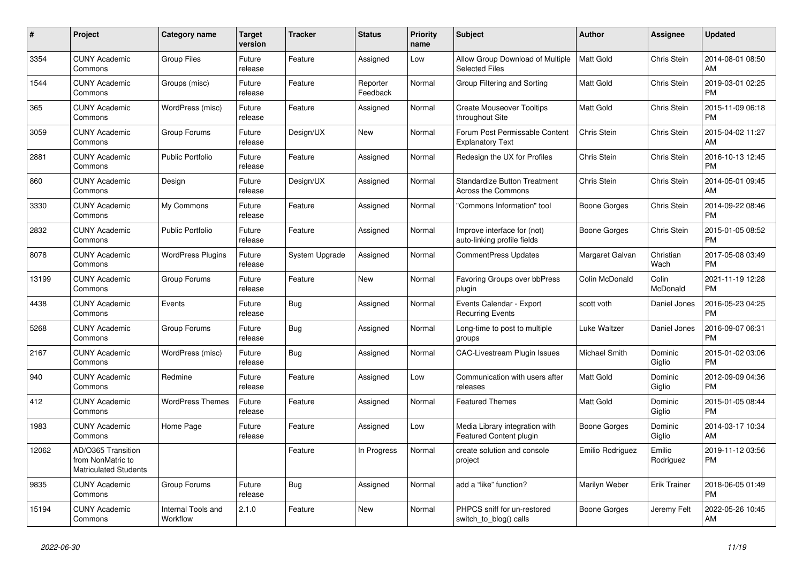| #     | Project                                                                 | <b>Category name</b>           | <b>Target</b><br>version | <b>Tracker</b> | <b>Status</b>        | Priority<br>name | <b>Subject</b>                                             | Author              | Assignee            | <b>Updated</b>                |
|-------|-------------------------------------------------------------------------|--------------------------------|--------------------------|----------------|----------------------|------------------|------------------------------------------------------------|---------------------|---------------------|-------------------------------|
| 3354  | <b>CUNY Academic</b><br>Commons                                         | <b>Group Files</b>             | Future<br>release        | Feature        | Assigned             | Low              | Allow Group Download of Multiple<br><b>Selected Files</b>  | <b>Matt Gold</b>    | Chris Stein         | 2014-08-01 08:50<br>AM        |
| 1544  | <b>CUNY Academic</b><br>Commons                                         | Groups (misc)                  | Future<br>release        | Feature        | Reporter<br>Feedback | Normal           | Group Filtering and Sorting                                | <b>Matt Gold</b>    | Chris Stein         | 2019-03-01 02:25<br><b>PM</b> |
| 365   | <b>CUNY Academic</b><br>Commons                                         | WordPress (misc)               | Future<br>release        | Feature        | Assigned             | Normal           | <b>Create Mouseover Tooltips</b><br>throughout Site        | Matt Gold           | Chris Stein         | 2015-11-09 06:18<br><b>PM</b> |
| 3059  | <b>CUNY Academic</b><br>Commons                                         | Group Forums                   | Future<br>release        | Design/UX      | New                  | Normal           | Forum Post Permissable Content<br><b>Explanatory Text</b>  | Chris Stein         | Chris Stein         | 2015-04-02 11:27<br>AM        |
| 2881  | <b>CUNY Academic</b><br>Commons                                         | Public Portfolio               | Future<br>release        | Feature        | Assigned             | Normal           | Redesign the UX for Profiles                               | Chris Stein         | Chris Stein         | 2016-10-13 12:45<br><b>PM</b> |
| 860   | <b>CUNY Academic</b><br>Commons                                         | Design                         | Future<br>release        | Design/UX      | Assigned             | Normal           | <b>Standardize Button Treatment</b><br>Across the Commons  | Chris Stein         | Chris Stein         | 2014-05-01 09:45<br>AM        |
| 3330  | <b>CUNY Academic</b><br>Commons                                         | My Commons                     | Future<br>release        | Feature        | Assigned             | Normal           | "Commons Information" tool                                 | <b>Boone Gorges</b> | Chris Stein         | 2014-09-22 08:46<br><b>PM</b> |
| 2832  | <b>CUNY Academic</b><br>Commons                                         | <b>Public Portfolio</b>        | Future<br>release        | Feature        | Assigned             | Normal           | Improve interface for (not)<br>auto-linking profile fields | <b>Boone Gorges</b> | Chris Stein         | 2015-01-05 08:52<br><b>PM</b> |
| 8078  | <b>CUNY Academic</b><br>Commons                                         | <b>WordPress Plugins</b>       | Future<br>release        | System Upgrade | Assigned             | Normal           | <b>CommentPress Updates</b>                                | Margaret Galvan     | Christian<br>Wach   | 2017-05-08 03:49<br><b>PM</b> |
| 13199 | <b>CUNY Academic</b><br>Commons                                         | Group Forums                   | Future<br>release        | Feature        | New                  | Normal           | Favoring Groups over bbPress<br>plugin                     | Colin McDonald      | Colin<br>McDonald   | 2021-11-19 12:28<br><b>PM</b> |
| 4438  | <b>CUNY Academic</b><br>Commons                                         | Events                         | Future<br>release        | Bug            | Assigned             | Normal           | Events Calendar - Export<br><b>Recurring Events</b>        | scott voth          | Daniel Jones        | 2016-05-23 04:25<br><b>PM</b> |
| 5268  | <b>CUNY Academic</b><br>Commons                                         | Group Forums                   | Future<br>release        | Bug            | Assigned             | Normal           | Long-time to post to multiple<br>groups                    | Luke Waltzer        | Daniel Jones        | 2016-09-07 06:31<br><b>PM</b> |
| 2167  | <b>CUNY Academic</b><br>Commons                                         | WordPress (misc)               | Future<br>release        | Bug            | Assigned             | Normal           | CAC-Livestream Plugin Issues                               | Michael Smith       | Dominic<br>Giglio   | 2015-01-02 03:06<br><b>PM</b> |
| 940   | <b>CUNY Academic</b><br>Commons                                         | Redmine                        | Future<br>release        | Feature        | Assigned             | Low              | Communication with users after<br>releases                 | Matt Gold           | Dominic<br>Giglio   | 2012-09-09 04:36<br><b>PM</b> |
| 412   | <b>CUNY Academic</b><br>Commons                                         | <b>WordPress Themes</b>        | Future<br>release        | Feature        | Assigned             | Normal           | <b>Featured Themes</b>                                     | <b>Matt Gold</b>    | Dominic<br>Giglio   | 2015-01-05 08:44<br><b>PM</b> |
| 1983  | <b>CUNY Academic</b><br>Commons                                         | Home Page                      | Future<br>release        | Feature        | Assigned             | Low              | Media Library integration with<br>Featured Content plugin  | <b>Boone Gorges</b> | Dominic<br>Giglio   | 2014-03-17 10:34<br>AM        |
| 12062 | AD/O365 Transition<br>from NonMatric to<br><b>Matriculated Students</b> |                                |                          | Feature        | In Progress          | Normal           | create solution and console<br>project                     | Emilio Rodriguez    | Emilio<br>Rodriguez | 2019-11-12 03:56<br><b>PM</b> |
| 9835  | <b>CUNY Academic</b><br>Commons                                         | Group Forums                   | Future<br>release        | <b>Bug</b>     | Assigned             | Normal           | add a "like" function?                                     | Marilyn Weber       | <b>Erik Trainer</b> | 2018-06-05 01:49<br><b>PM</b> |
| 15194 | <b>CUNY Academic</b><br>Commons                                         | Internal Tools and<br>Workflow | 2.1.0                    | Feature        | New                  | Normal           | PHPCS sniff for un-restored<br>switch_to_blog() calls      | Boone Gorges        | Jeremy Felt         | 2022-05-26 10:45<br>AM        |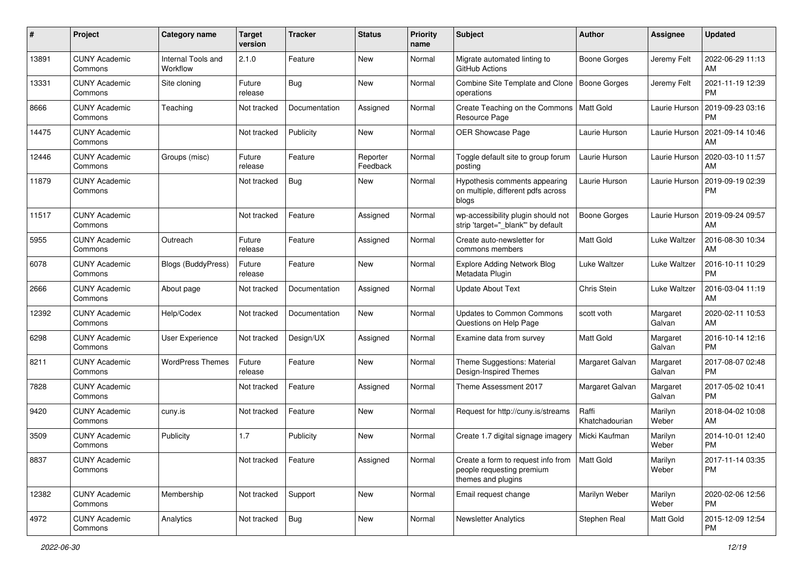| #     | Project                         | <b>Category name</b>           | <b>Target</b><br>version | <b>Tracker</b> | <b>Status</b>        | <b>Priority</b><br>name | <b>Subject</b>                                                                        | Author                  | Assignee           | <b>Updated</b>                |
|-------|---------------------------------|--------------------------------|--------------------------|----------------|----------------------|-------------------------|---------------------------------------------------------------------------------------|-------------------------|--------------------|-------------------------------|
| 13891 | <b>CUNY Academic</b><br>Commons | Internal Tools and<br>Workflow | 2.1.0                    | Feature        | New                  | Normal                  | Migrate automated linting to<br>GitHub Actions                                        | Boone Gorges            | Jeremy Felt        | 2022-06-29 11:13<br>AM        |
| 13331 | <b>CUNY Academic</b><br>Commons | Site cloning                   | Future<br>release        | Bug            | New                  | Normal                  | Combine Site Template and Clone<br>operations                                         | Boone Gorges            | Jeremy Felt        | 2021-11-19 12:39<br><b>PM</b> |
| 8666  | <b>CUNY Academic</b><br>Commons | Teaching                       | Not tracked              | Documentation  | Assigned             | Normal                  | Create Teaching on the Commons<br>Resource Page                                       | Matt Gold               | Laurie Hurson      | 2019-09-23 03:16<br><b>PM</b> |
| 14475 | <b>CUNY Academic</b><br>Commons |                                | Not tracked              | Publicity      | New                  | Normal                  | OER Showcase Page                                                                     | Laurie Hurson           | Laurie Hurson      | 2021-09-14 10:46<br>AM        |
| 12446 | <b>CUNY Academic</b><br>Commons | Groups (misc)                  | Future<br>release        | Feature        | Reporter<br>Feedback | Normal                  | Toggle default site to group forum<br>posting                                         | Laurie Hurson           | Laurie Hurson      | 2020-03-10 11:57<br>AM        |
| 11879 | <b>CUNY Academic</b><br>Commons |                                | Not tracked              | Bug            | New                  | Normal                  | Hypothesis comments appearing<br>on multiple, different pdfs across<br>blogs          | Laurie Hurson           | Laurie Hurson      | 2019-09-19 02:39<br><b>PM</b> |
| 11517 | <b>CUNY Academic</b><br>Commons |                                | Not tracked              | Feature        | Assigned             | Normal                  | wp-accessibility plugin should not<br>strip 'target="_blank" by default               | Boone Gorges            | Laurie Hurson      | 2019-09-24 09:57<br>AM        |
| 5955  | <b>CUNY Academic</b><br>Commons | Outreach                       | Future<br>release        | Feature        | Assigned             | Normal                  | Create auto-newsletter for<br>commons members                                         | Matt Gold               | Luke Waltzer       | 2016-08-30 10:34<br>AM        |
| 6078  | <b>CUNY Academic</b><br>Commons | Blogs (BuddyPress)             | Future<br>release        | Feature        | New                  | Normal                  | <b>Explore Adding Network Blog</b><br>Metadata Plugin                                 | Luke Waltzer            | Luke Waltzer       | 2016-10-11 10:29<br><b>PM</b> |
| 2666  | <b>CUNY Academic</b><br>Commons | About page                     | Not tracked              | Documentation  | Assigned             | Normal                  | <b>Update About Text</b>                                                              | Chris Stein             | Luke Waltzer       | 2016-03-04 11:19<br>AM        |
| 12392 | <b>CUNY Academic</b><br>Commons | Help/Codex                     | Not tracked              | Documentation  | New                  | Normal                  | Updates to Common Commons<br>Questions on Help Page                                   | scott voth              | Margaret<br>Galvan | 2020-02-11 10:53<br>AM        |
| 6298  | <b>CUNY Academic</b><br>Commons | User Experience                | Not tracked              | Design/UX      | Assigned             | Normal                  | Examine data from survey                                                              | <b>Matt Gold</b>        | Margaret<br>Galvan | 2016-10-14 12:16<br><b>PM</b> |
| 8211  | <b>CUNY Academic</b><br>Commons | <b>WordPress Themes</b>        | Future<br>release        | Feature        | New                  | Normal                  | Theme Suggestions: Material<br>Design-Inspired Themes                                 | Margaret Galvan         | Margaret<br>Galvan | 2017-08-07 02:48<br><b>PM</b> |
| 7828  | <b>CUNY Academic</b><br>Commons |                                | Not tracked              | Feature        | Assigned             | Normal                  | Theme Assessment 2017                                                                 | Margaret Galvan         | Margaret<br>Galvan | 2017-05-02 10:41<br><b>PM</b> |
| 9420  | <b>CUNY Academic</b><br>Commons | cuny.is                        | Not tracked              | Feature        | New                  | Normal                  | Request for http://cuny.is/streams                                                    | Raffi<br>Khatchadourian | Marilyn<br>Weber   | 2018-04-02 10:08<br>AM        |
| 3509  | <b>CUNY Academic</b><br>Commons | Publicity                      | 1.7                      | Publicity      | New                  | Normal                  | Create 1.7 digital signage imagery                                                    | Micki Kaufman           | Marilyn<br>Weber   | 2014-10-01 12:40<br><b>PM</b> |
| 8837  | <b>CUNY Academic</b><br>Commons |                                | Not tracked              | Feature        | Assigned             | Normal                  | Create a form to request info from<br>people requesting premium<br>themes and plugins | Matt Gold               | Marilyn<br>Weber   | 2017-11-14 03:35<br><b>PM</b> |
| 12382 | <b>CUNY Academic</b><br>Commons | Membership                     | Not tracked              | Support        | New                  | Normal                  | Email request change                                                                  | Marilyn Weber           | Marilyn<br>Weber   | 2020-02-06 12:56<br><b>PM</b> |
| 4972  | <b>CUNY Academic</b><br>Commons | Analytics                      | Not tracked              | Bug            | New                  | Normal                  | <b>Newsletter Analytics</b>                                                           | Stephen Real            | Matt Gold          | 2015-12-09 12:54<br>PM        |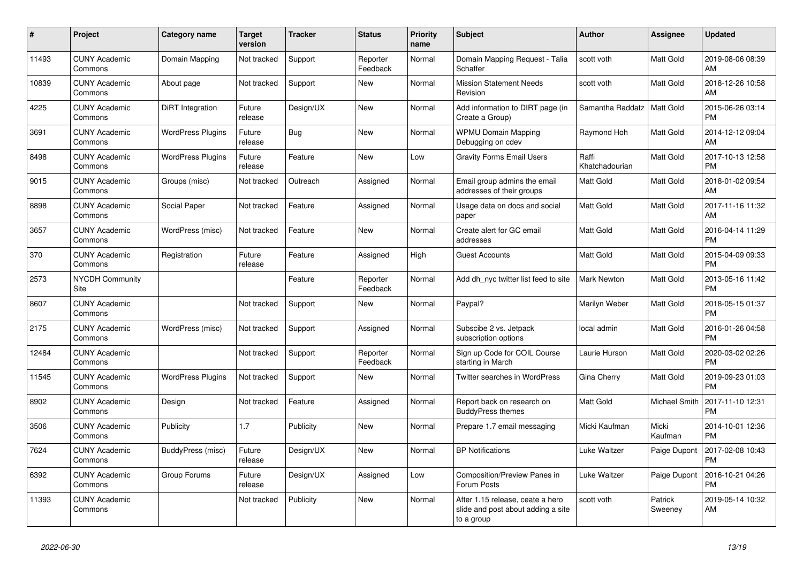| #     | <b>Project</b>                  | Category name            | <b>Target</b><br>version | <b>Tracker</b> | <b>Status</b>        | <b>Priority</b><br>name | <b>Subject</b>                                                                       | <b>Author</b>           | Assignee           | <b>Updated</b>                |
|-------|---------------------------------|--------------------------|--------------------------|----------------|----------------------|-------------------------|--------------------------------------------------------------------------------------|-------------------------|--------------------|-------------------------------|
| 11493 | <b>CUNY Academic</b><br>Commons | Domain Mapping           | Not tracked              | Support        | Reporter<br>Feedback | Normal                  | Domain Mapping Request - Talia<br>Schaffer                                           | scott voth              | Matt Gold          | 2019-08-06 08:39<br>AM        |
| 10839 | <b>CUNY Academic</b><br>Commons | About page               | Not tracked              | Support        | New                  | Normal                  | <b>Mission Statement Needs</b><br>Revision                                           | scott voth              | Matt Gold          | 2018-12-26 10:58<br>AM        |
| 4225  | <b>CUNY Academic</b><br>Commons | DiRT Integration         | Future<br>release        | Design/UX      | <b>New</b>           | Normal                  | Add information to DIRT page (in<br>Create a Group)                                  | Samantha Raddatz        | Matt Gold          | 2015-06-26 03:14<br><b>PM</b> |
| 3691  | <b>CUNY Academic</b><br>Commons | <b>WordPress Plugins</b> | Future<br>release        | Bug            | <b>New</b>           | Normal                  | <b>WPMU Domain Mapping</b><br>Debugging on cdev                                      | Raymond Hoh             | Matt Gold          | 2014-12-12 09:04<br>AM        |
| 8498  | <b>CUNY Academic</b><br>Commons | <b>WordPress Plugins</b> | Future<br>release        | Feature        | New                  | Low                     | <b>Gravity Forms Email Users</b>                                                     | Raffi<br>Khatchadourian | Matt Gold          | 2017-10-13 12:58<br><b>PM</b> |
| 9015  | <b>CUNY Academic</b><br>Commons | Groups (misc)            | Not tracked              | Outreach       | Assigned             | Normal                  | Email group admins the email<br>addresses of their groups                            | Matt Gold               | Matt Gold          | 2018-01-02 09:54<br>AM        |
| 8898  | <b>CUNY Academic</b><br>Commons | Social Paper             | Not tracked              | Feature        | Assigned             | Normal                  | Usage data on docs and social<br>paper                                               | <b>Matt Gold</b>        | Matt Gold          | 2017-11-16 11:32<br>AM        |
| 3657  | <b>CUNY Academic</b><br>Commons | WordPress (misc)         | Not tracked              | Feature        | New                  | Normal                  | Create alert for GC email<br>addresses                                               | Matt Gold               | Matt Gold          | 2016-04-14 11:29<br><b>PM</b> |
| 370   | <b>CUNY Academic</b><br>Commons | Registration             | Future<br>release        | Feature        | Assigned             | High                    | <b>Guest Accounts</b>                                                                | <b>Matt Gold</b>        | Matt Gold          | 2015-04-09 09:33<br><b>PM</b> |
| 2573  | <b>NYCDH Community</b><br>Site  |                          |                          | Feature        | Reporter<br>Feedback | Normal                  | Add dh nyc twitter list feed to site                                                 | <b>Mark Newton</b>      | Matt Gold          | 2013-05-16 11:42<br><b>PM</b> |
| 8607  | <b>CUNY Academic</b><br>Commons |                          | Not tracked              | Support        | New                  | Normal                  | Paypal?                                                                              | Marilyn Weber           | Matt Gold          | 2018-05-15 01:37<br><b>PM</b> |
| 2175  | <b>CUNY Academic</b><br>Commons | WordPress (misc)         | Not tracked              | Support        | Assigned             | Normal                  | Subscibe 2 vs. Jetpack<br>subscription options                                       | local admin             | Matt Gold          | 2016-01-26 04:58<br><b>PM</b> |
| 12484 | <b>CUNY Academic</b><br>Commons |                          | Not tracked              | Support        | Reporter<br>Feedback | Normal                  | Sign up Code for COIL Course<br>starting in March                                    | Laurie Hurson           | Matt Gold          | 2020-03-02 02:26<br><b>PM</b> |
| 11545 | <b>CUNY Academic</b><br>Commons | <b>WordPress Plugins</b> | Not tracked              | Support        | <b>New</b>           | Normal                  | <b>Twitter searches in WordPress</b>                                                 | Gina Cherry             | Matt Gold          | 2019-09-23 01:03<br><b>PM</b> |
| 8902  | <b>CUNY Academic</b><br>Commons | Design                   | Not tracked              | Feature        | Assigned             | Normal                  | Report back on research on<br><b>BuddyPress themes</b>                               | Matt Gold               | Michael Smith      | 2017-11-10 12:31<br><b>PM</b> |
| 3506  | <b>CUNY Academic</b><br>Commons | Publicity                | 1.7                      | Publicity      | <b>New</b>           | Normal                  | Prepare 1.7 email messaging                                                          | Micki Kaufman           | Micki<br>Kaufman   | 2014-10-01 12:36<br><b>PM</b> |
| 7624  | <b>CUNY Academic</b><br>Commons | BuddyPress (misc)        | Future<br>release        | Design/UX      | New                  | Normal                  | <b>BP Notifications</b>                                                              | Luke Waltzer            | Paige Dupont       | 2017-02-08 10:43<br><b>PM</b> |
| 6392  | <b>CUNY Academic</b><br>Commons | Group Forums             | Future<br>release        | Design/UX      | Assigned             | Low                     | Composition/Preview Panes in<br>Forum Posts                                          | Luke Waltzer            | Paige Dupont       | 2016-10-21 04:26<br><b>PM</b> |
| 11393 | <b>CUNY Academic</b><br>Commons |                          | Not tracked              | Publicity      | <b>New</b>           | Normal                  | After 1.15 release, ceate a hero<br>slide and post about adding a site<br>to a group | scott voth              | Patrick<br>Sweenev | 2019-05-14 10:32<br>AM        |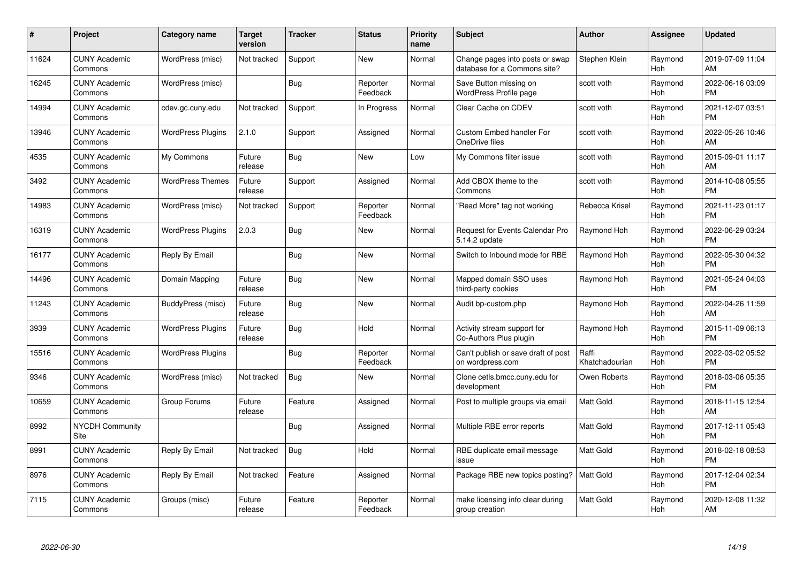| $\#$  | Project                               | <b>Category name</b>     | <b>Target</b><br>version | <b>Tracker</b> | <b>Status</b>        | Priority<br>name | <b>Subject</b>                                                  | <b>Author</b>           | <b>Assignee</b> | <b>Updated</b>                |
|-------|---------------------------------------|--------------------------|--------------------------|----------------|----------------------|------------------|-----------------------------------------------------------------|-------------------------|-----------------|-------------------------------|
| 11624 | <b>CUNY Academic</b><br>Commons       | WordPress (misc)         | Not tracked              | Support        | <b>New</b>           | Normal           | Change pages into posts or swap<br>database for a Commons site? | Stephen Klein           | Raymond<br>Hoh  | 2019-07-09 11:04<br>AM        |
| 16245 | <b>CUNY Academic</b><br>Commons       | WordPress (misc)         |                          | Bug            | Reporter<br>Feedback | Normal           | Save Button missing on<br><b>WordPress Profile page</b>         | scott voth              | Raymond<br>Hoh  | 2022-06-16 03:09<br><b>PM</b> |
| 14994 | <b>CUNY Academic</b><br>Commons       | cdev.gc.cuny.edu         | Not tracked              | Support        | In Progress          | Normal           | Clear Cache on CDEV                                             | scott voth              | Raymond<br>Hoh  | 2021-12-07 03:51<br><b>PM</b> |
| 13946 | <b>CUNY Academic</b><br>Commons       | <b>WordPress Plugins</b> | 2.1.0                    | Support        | Assigned             | Normal           | <b>Custom Embed handler For</b><br>OneDrive files               | scott voth              | Raymond<br>Hoh  | 2022-05-26 10:46<br>AM        |
| 4535  | <b>CUNY Academic</b><br>Commons       | My Commons               | Future<br>release        | Bug            | <b>New</b>           | Low              | My Commons filter issue                                         | scott voth              | Raymond<br>Hoh  | 2015-09-01 11:17<br>AM        |
| 3492  | <b>CUNY Academic</b><br>Commons       | <b>WordPress Themes</b>  | Future<br>release        | Support        | Assigned             | Normal           | Add CBOX theme to the<br>Commons                                | scott voth              | Raymond<br>Hoh  | 2014-10-08 05:55<br><b>PM</b> |
| 14983 | <b>CUNY Academic</b><br>Commons       | WordPress (misc)         | Not tracked              | Support        | Reporter<br>Feedback | Normal           | "Read More" tag not working                                     | Rebecca Krisel          | Raymond<br>Hoh  | 2021-11-23 01:17<br><b>PM</b> |
| 16319 | <b>CUNY Academic</b><br>Commons       | <b>WordPress Plugins</b> | 2.0.3                    | Bug            | New                  | Normal           | Request for Events Calendar Pro<br>5.14.2 update                | Raymond Hoh             | Raymond<br>Hoh  | 2022-06-29 03:24<br><b>PM</b> |
| 16177 | <b>CUNY Academic</b><br>Commons       | Reply By Email           |                          | Bug            | New                  | Normal           | Switch to Inbound mode for RBE                                  | Raymond Hoh             | Raymond<br>Hoh  | 2022-05-30 04:32<br><b>PM</b> |
| 14496 | <b>CUNY Academic</b><br>Commons       | Domain Mapping           | Future<br>release        | Bug            | New                  | Normal           | Mapped domain SSO uses<br>third-party cookies                   | Raymond Hoh             | Raymond<br>Hoh  | 2021-05-24 04:03<br><b>PM</b> |
| 11243 | <b>CUNY Academic</b><br>Commons       | BuddyPress (misc)        | Future<br>release        | Bug            | New                  | Normal           | Audit bp-custom.php                                             | Raymond Hoh             | Raymond<br>Hoh  | 2022-04-26 11:59<br>AM        |
| 3939  | <b>CUNY Academic</b><br>Commons       | <b>WordPress Plugins</b> | Future<br>release        | Bug            | Hold                 | Normal           | Activity stream support for<br>Co-Authors Plus plugin           | Raymond Hoh             | Raymond<br>Hoh  | 2015-11-09 06:13<br><b>PM</b> |
| 15516 | <b>CUNY Academic</b><br>Commons       | <b>WordPress Plugins</b> |                          | Bug            | Reporter<br>Feedback | Normal           | Can't publish or save draft of post<br>on wordpress.com         | Raffi<br>Khatchadourian | Raymond<br>Hoh  | 2022-03-02 05:52<br><b>PM</b> |
| 9346  | <b>CUNY Academic</b><br>Commons       | WordPress (misc)         | Not tracked              | Bug            | New                  | Normal           | Clone cetls.bmcc.cuny.edu for<br>development                    | Owen Roberts            | Raymond<br>Hoh  | 2018-03-06 05:35<br><b>PM</b> |
| 10659 | <b>CUNY Academic</b><br>Commons       | Group Forums             | Future<br>release        | Feature        | Assigned             | Normal           | Post to multiple groups via email                               | <b>Matt Gold</b>        | Raymond<br>Hoh  | 2018-11-15 12:54<br>AM        |
| 8992  | <b>NYCDH Community</b><br><b>Site</b> |                          |                          | Bug            | Assigned             | Normal           | Multiple RBE error reports                                      | <b>Matt Gold</b>        | Raymond<br>Hoh  | 2017-12-11 05:43<br><b>PM</b> |
| 8991  | <b>CUNY Academic</b><br>Commons       | Reply By Email           | Not tracked              | Bug            | Hold                 | Normal           | RBE duplicate email message<br>issue                            | <b>Matt Gold</b>        | Raymond<br>Hoh  | 2018-02-18 08:53<br><b>PM</b> |
| 8976  | <b>CUNY Academic</b><br>Commons       | Reply By Email           | Not tracked              | Feature        | Assigned             | Normal           | Package RBE new topics posting?                                 | Matt Gold               | Raymond<br>Hoh  | 2017-12-04 02:34<br><b>PM</b> |
| 7115  | CUNY Academic<br>Commons              | Groups (misc)            | Future<br>release        | Feature        | Reporter<br>Feedback | Normal           | make licensing info clear during<br>group creation              | <b>Matt Gold</b>        | Raymond<br>Hoh  | 2020-12-08 11:32<br>AM        |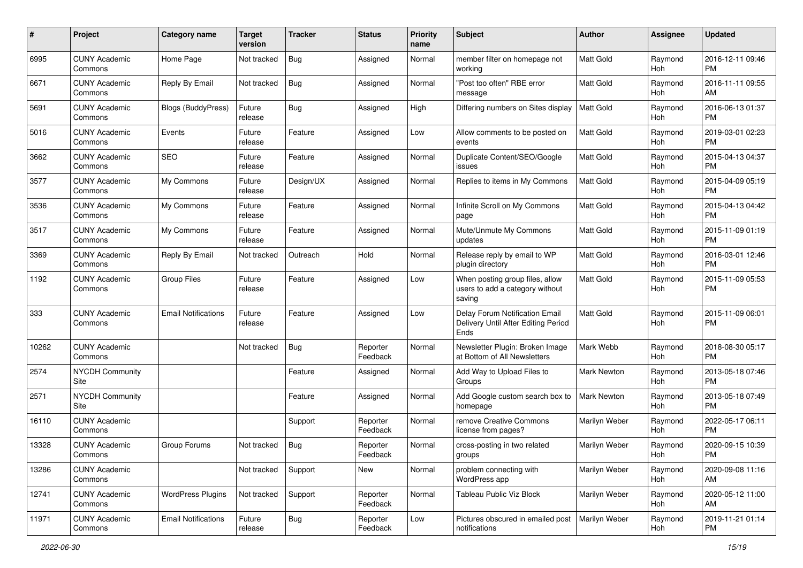| #     | Project                         | <b>Category name</b>       | <b>Target</b><br>version | <b>Tracker</b> | <b>Status</b>        | <b>Priority</b><br>name | Subject                                                                       | Author             | <b>Assignee</b> | <b>Updated</b>                |
|-------|---------------------------------|----------------------------|--------------------------|----------------|----------------------|-------------------------|-------------------------------------------------------------------------------|--------------------|-----------------|-------------------------------|
| 6995  | <b>CUNY Academic</b><br>Commons | Home Page                  | Not tracked              | Bug            | Assigned             | Normal                  | member filter on homepage not<br>working                                      | <b>Matt Gold</b>   | Raymond<br>Hoh  | 2016-12-11 09:46<br><b>PM</b> |
| 6671  | <b>CUNY Academic</b><br>Commons | Reply By Email             | Not tracked              | <b>Bug</b>     | Assigned             | Normal                  | "Post too often" RBE error<br>message                                         | Matt Gold          | Raymond<br>Hoh  | 2016-11-11 09:55<br>AM        |
| 5691  | <b>CUNY Academic</b><br>Commons | <b>Blogs (BuddyPress)</b>  | Future<br>release        | Bug            | Assigned             | High                    | Differing numbers on Sites display                                            | Matt Gold          | Raymond<br>Hoh  | 2016-06-13 01:37<br><b>PM</b> |
| 5016  | <b>CUNY Academic</b><br>Commons | Events                     | Future<br>release        | Feature        | Assigned             | Low                     | Allow comments to be posted on<br>events                                      | <b>Matt Gold</b>   | Raymond<br>Hoh  | 2019-03-01 02:23<br><b>PM</b> |
| 3662  | <b>CUNY Academic</b><br>Commons | <b>SEO</b>                 | Future<br>release        | Feature        | Assigned             | Normal                  | Duplicate Content/SEO/Google<br>issues                                        | <b>Matt Gold</b>   | Raymond<br>Hoh  | 2015-04-13 04:37<br><b>PM</b> |
| 3577  | <b>CUNY Academic</b><br>Commons | My Commons                 | Future<br>release        | Design/UX      | Assigned             | Normal                  | Replies to items in My Commons                                                | Matt Gold          | Raymond<br>Hoh  | 2015-04-09 05:19<br><b>PM</b> |
| 3536  | <b>CUNY Academic</b><br>Commons | My Commons                 | Future<br>release        | Feature        | Assigned             | Normal                  | Infinite Scroll on My Commons<br>page                                         | <b>Matt Gold</b>   | Raymond<br>Hoh  | 2015-04-13 04:42<br><b>PM</b> |
| 3517  | <b>CUNY Academic</b><br>Commons | My Commons                 | Future<br>release        | Feature        | Assigned             | Normal                  | Mute/Unmute My Commons<br>updates                                             | <b>Matt Gold</b>   | Raymond<br>Hoh  | 2015-11-09 01:19<br><b>PM</b> |
| 3369  | <b>CUNY Academic</b><br>Commons | Reply By Email             | Not tracked              | Outreach       | Hold                 | Normal                  | Release reply by email to WP<br>plugin directory                              | Matt Gold          | Raymond<br>Hoh  | 2016-03-01 12:46<br><b>PM</b> |
| 1192  | <b>CUNY Academic</b><br>Commons | <b>Group Files</b>         | Future<br>release        | Feature        | Assigned             | Low                     | When posting group files, allow<br>users to add a category without<br>saving  | Matt Gold          | Raymond<br>Hoh  | 2015-11-09 05:53<br><b>PM</b> |
| 333   | <b>CUNY Academic</b><br>Commons | <b>Email Notifications</b> | Future<br>release        | Feature        | Assigned             | Low                     | Delay Forum Notification Email<br>Delivery Until After Editing Period<br>Ends | Matt Gold          | Raymond<br>Hoh  | 2015-11-09 06:01<br><b>PM</b> |
| 10262 | <b>CUNY Academic</b><br>Commons |                            | Not tracked              | <b>Bug</b>     | Reporter<br>Feedback | Normal                  | Newsletter Plugin: Broken Image<br>at Bottom of All Newsletters               | Mark Webb          | Raymond<br>Hoh  | 2018-08-30 05:17<br><b>PM</b> |
| 2574  | <b>NYCDH Community</b><br>Site  |                            |                          | Feature        | Assigned             | Normal                  | Add Way to Upload Files to<br>Groups                                          | Mark Newton        | Raymond<br>Hoh  | 2013-05-18 07:46<br><b>PM</b> |
| 2571  | <b>NYCDH Community</b><br>Site  |                            |                          | Feature        | Assigned             | Normal                  | Add Google custom search box to<br>homepage                                   | <b>Mark Newton</b> | Raymond<br>Hoh  | 2013-05-18 07:49<br><b>PM</b> |
| 16110 | <b>CUNY Academic</b><br>Commons |                            |                          | Support        | Reporter<br>Feedback | Normal                  | remove Creative Commons<br>license from pages?                                | Marilyn Weber      | Raymond<br>Hoh  | 2022-05-17 06:11<br><b>PM</b> |
| 13328 | <b>CUNY Academic</b><br>Commons | Group Forums               | Not tracked              | i Bug          | Reporter<br>Feedback | Normal                  | cross-posting in two related<br>groups                                        | Marilyn Weber      | Raymond<br>Hoh  | 2020-09-15 10:39<br>PM        |
| 13286 | <b>CUNY Academic</b><br>Commons |                            | Not tracked              | Support        | New                  | Normal                  | problem connecting with<br>WordPress app                                      | Marilyn Weber      | Raymond<br>Hoh  | 2020-09-08 11:16<br>AM        |
| 12741 | <b>CUNY Academic</b><br>Commons | <b>WordPress Plugins</b>   | Not tracked              | Support        | Reporter<br>Feedback | Normal                  | Tableau Public Viz Block                                                      | Marilyn Weber      | Raymond<br>Hoh  | 2020-05-12 11:00<br>AM        |
| 11971 | <b>CUNY Academic</b><br>Commons | <b>Email Notifications</b> | Future<br>release        | <b>Bug</b>     | Reporter<br>Feedback | Low                     | Pictures obscured in emailed post<br>notifications                            | Marilyn Weber      | Raymond<br>Hoh  | 2019-11-21 01:14<br><b>PM</b> |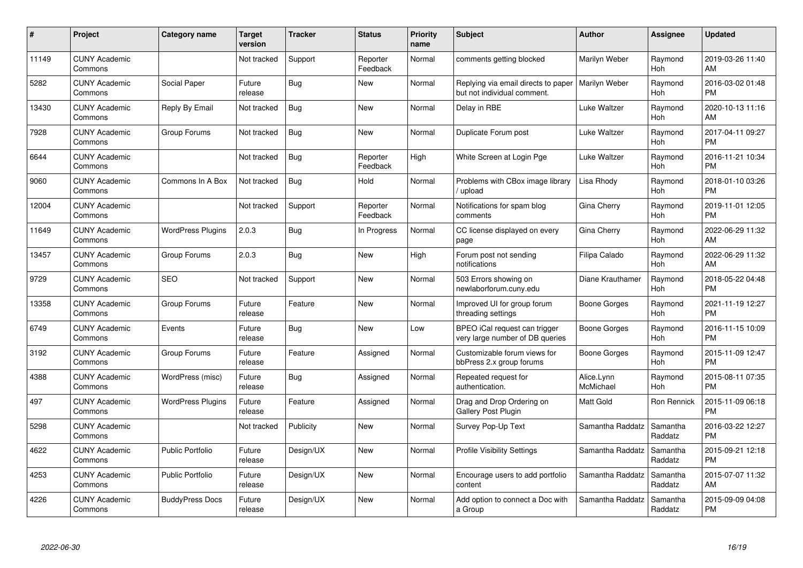| #     | Project                         | <b>Category name</b>     | <b>Target</b><br>version | <b>Tracker</b> | <b>Status</b>        | Priority<br>name | <b>Subject</b>                                                     | <b>Author</b>           | <b>Assignee</b>     | <b>Updated</b>                |
|-------|---------------------------------|--------------------------|--------------------------|----------------|----------------------|------------------|--------------------------------------------------------------------|-------------------------|---------------------|-------------------------------|
| 11149 | <b>CUNY Academic</b><br>Commons |                          | Not tracked              | Support        | Reporter<br>Feedback | Normal           | comments getting blocked                                           | Marilyn Weber           | Raymond<br>Hoh      | 2019-03-26 11:40<br>AM        |
| 5282  | <b>CUNY Academic</b><br>Commons | Social Paper             | Future<br>release        | Bug            | New                  | Normal           | Replying via email directs to paper<br>but not individual comment. | Marilyn Weber           | Raymond<br>Hoh      | 2016-03-02 01:48<br><b>PM</b> |
| 13430 | <b>CUNY Academic</b><br>Commons | Reply By Email           | Not tracked              | Bug            | <b>New</b>           | Normal           | Delay in RBE                                                       | Luke Waltzer            | Raymond<br>Hoh      | 2020-10-13 11:16<br>AM        |
| 7928  | <b>CUNY Academic</b><br>Commons | Group Forums             | Not tracked              | Bug            | <b>New</b>           | Normal           | Duplicate Forum post                                               | Luke Waltzer            | Raymond<br>Hoh      | 2017-04-11 09:27<br><b>PM</b> |
| 6644  | <b>CUNY Academic</b><br>Commons |                          | Not tracked              | Bug            | Reporter<br>Feedback | High             | White Screen at Login Pge                                          | Luke Waltzer            | Raymond<br>Hoh      | 2016-11-21 10:34<br><b>PM</b> |
| 9060  | <b>CUNY Academic</b><br>Commons | Commons In A Box         | Not tracked              | Bug            | Hold                 | Normal           | Problems with CBox image library<br>upload                         | Lisa Rhody              | Raymond<br>Hoh      | 2018-01-10 03:26<br><b>PM</b> |
| 12004 | <b>CUNY Academic</b><br>Commons |                          | Not tracked              | Support        | Reporter<br>Feedback | Normal           | Notifications for spam blog<br>comments                            | Gina Cherry             | Raymond<br>Hoh      | 2019-11-01 12:05<br><b>PM</b> |
| 11649 | <b>CUNY Academic</b><br>Commons | <b>WordPress Plugins</b> | 2.0.3                    | Bug            | In Progress          | Normal           | CC license displayed on every<br>page                              | Gina Cherry             | Raymond<br>Hoh      | 2022-06-29 11:32<br>AM        |
| 13457 | <b>CUNY Academic</b><br>Commons | Group Forums             | 2.0.3                    | <b>Bug</b>     | New                  | High             | Forum post not sending<br>notifications                            | Filipa Calado           | Raymond<br>Hoh      | 2022-06-29 11:32<br>AM        |
| 9729  | <b>CUNY Academic</b><br>Commons | <b>SEO</b>               | Not tracked              | Support        | New                  | Normal           | 503 Errors showing on<br>newlaborforum.cuny.edu                    | Diane Krauthamer        | Raymond<br>Hoh      | 2018-05-22 04:48<br><b>PM</b> |
| 13358 | <b>CUNY Academic</b><br>Commons | Group Forums             | Future<br>release        | Feature        | New                  | Normal           | Improved UI for group forum<br>threading settings                  | Boone Gorges            | Raymond<br>Hoh      | 2021-11-19 12:27<br><b>PM</b> |
| 6749  | <b>CUNY Academic</b><br>Commons | Events                   | Future<br>release        | Bug            | New                  | Low              | BPEO iCal request can trigger<br>very large number of DB queries   | Boone Gorges            | Raymond<br>Hoh      | 2016-11-15 10:09<br><b>PM</b> |
| 3192  | <b>CUNY Academic</b><br>Commons | Group Forums             | Future<br>release        | Feature        | Assigned             | Normal           | Customizable forum views for<br>bbPress 2.x group forums           | Boone Gorges            | Raymond<br>Hoh      | 2015-11-09 12:47<br><b>PM</b> |
| 4388  | <b>CUNY Academic</b><br>Commons | WordPress (misc)         | Future<br>release        | Bug            | Assigned             | Normal           | Repeated request for<br>authentication.                            | Alice.Lynn<br>McMichael | Raymond<br>Hoh      | 2015-08-11 07:35<br><b>PM</b> |
| 497   | <b>CUNY Academic</b><br>Commons | <b>WordPress Plugins</b> | Future<br>release        | Feature        | Assigned             | Normal           | Drag and Drop Ordering on<br><b>Gallery Post Plugin</b>            | <b>Matt Gold</b>        | Ron Rennick         | 2015-11-09 06:18<br><b>PM</b> |
| 5298  | <b>CUNY Academic</b><br>Commons |                          | Not tracked              | Publicity      | New                  | Normal           | Survey Pop-Up Text                                                 | Samantha Raddatz        | Samantha<br>Raddatz | 2016-03-22 12:27<br><b>PM</b> |
| 4622  | <b>CUNY Academic</b><br>Commons | <b>Public Portfolio</b>  | Future<br>release        | Design/UX      | <b>New</b>           | Normal           | <b>Profile Visibility Settings</b>                                 | Samantha Raddatz        | Samantha<br>Raddatz | 2015-09-21 12:18<br><b>PM</b> |
| 4253  | <b>CUNY Academic</b><br>Commons | Public Portfolio         | Future<br>release        | Design/UX      | New                  | Normal           | Encourage users to add portfolio<br>content                        | Samantha Raddatz        | Samantha<br>Raddatz | 2015-07-07 11:32<br>AM        |
| 4226  | <b>CUNY Academic</b><br>Commons | <b>BuddyPress Docs</b>   | Future<br>release        | Design/UX      | <b>New</b>           | Normal           | Add option to connect a Doc with<br>a Group                        | Samantha Raddatz        | Samantha<br>Raddatz | 2015-09-09 04:08<br><b>PM</b> |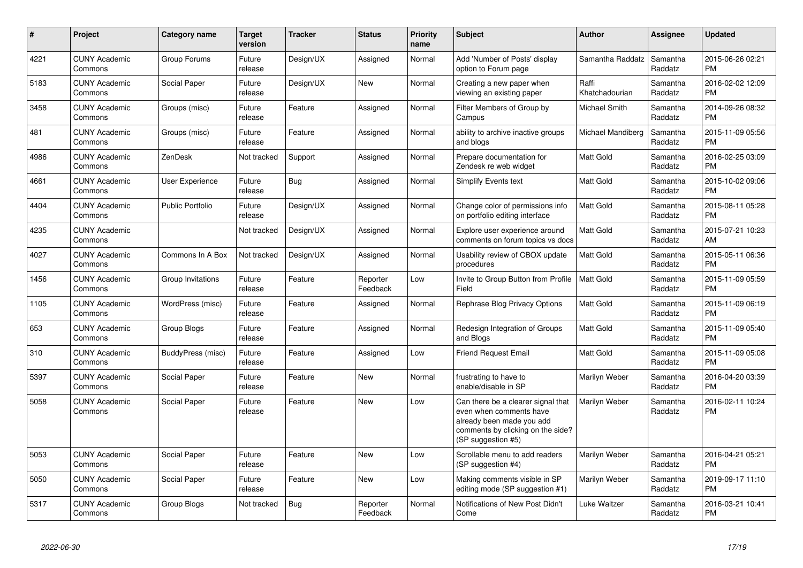| #    | Project                         | <b>Category name</b>    | <b>Target</b><br>version | <b>Tracker</b> | <b>Status</b>        | <b>Priority</b><br>name | <b>Subject</b>                                                                                                                                        | <b>Author</b>           | Assignee            | <b>Updated</b>                |
|------|---------------------------------|-------------------------|--------------------------|----------------|----------------------|-------------------------|-------------------------------------------------------------------------------------------------------------------------------------------------------|-------------------------|---------------------|-------------------------------|
| 4221 | <b>CUNY Academic</b><br>Commons | Group Forums            | Future<br>release        | Design/UX      | Assigned             | Normal                  | Add 'Number of Posts' display<br>option to Forum page                                                                                                 | Samantha Raddatz        | Samantha<br>Raddatz | 2015-06-26 02:21<br><b>PM</b> |
| 5183 | <b>CUNY Academic</b><br>Commons | Social Paper            | Future<br>release        | Design/UX      | <b>New</b>           | Normal                  | Creating a new paper when<br>viewing an existing paper                                                                                                | Raffi<br>Khatchadourian | Samantha<br>Raddatz | 2016-02-02 12:09<br><b>PM</b> |
| 3458 | <b>CUNY Academic</b><br>Commons | Groups (misc)           | Future<br>release        | Feature        | Assigned             | Normal                  | Filter Members of Group by<br>Campus                                                                                                                  | Michael Smith           | Samantha<br>Raddatz | 2014-09-26 08:32<br><b>PM</b> |
| 481  | <b>CUNY Academic</b><br>Commons | Groups (misc)           | Future<br>release        | Feature        | Assigned             | Normal                  | ability to archive inactive groups<br>and blogs                                                                                                       | Michael Mandiberg       | Samantha<br>Raddatz | 2015-11-09 05:56<br><b>PM</b> |
| 4986 | <b>CUNY Academic</b><br>Commons | ZenDesk                 | Not tracked              | Support        | Assigned             | Normal                  | Prepare documentation for<br>Zendesk re web widget                                                                                                    | Matt Gold               | Samantha<br>Raddatz | 2016-02-25 03:09<br><b>PM</b> |
| 4661 | <b>CUNY Academic</b><br>Commons | User Experience         | Future<br>release        | Bug            | Assigned             | Normal                  | <b>Simplify Events text</b>                                                                                                                           | <b>Matt Gold</b>        | Samantha<br>Raddatz | 2015-10-02 09:06<br><b>PM</b> |
| 4404 | <b>CUNY Academic</b><br>Commons | <b>Public Portfolio</b> | Future<br>release        | Design/UX      | Assigned             | Normal                  | Change color of permissions info<br>on portfolio editing interface                                                                                    | <b>Matt Gold</b>        | Samantha<br>Raddatz | 2015-08-11 05:28<br><b>PM</b> |
| 4235 | <b>CUNY Academic</b><br>Commons |                         | Not tracked              | Design/UX      | Assigned             | Normal                  | Explore user experience around<br>comments on forum topics vs docs                                                                                    | <b>Matt Gold</b>        | Samantha<br>Raddatz | 2015-07-21 10:23<br>AM        |
| 4027 | <b>CUNY Academic</b><br>Commons | Commons In A Box        | Not tracked              | Design/UX      | Assigned             | Normal                  | Usability review of CBOX update<br>procedures                                                                                                         | <b>Matt Gold</b>        | Samantha<br>Raddatz | 2015-05-11 06:36<br><b>PM</b> |
| 1456 | <b>CUNY Academic</b><br>Commons | Group Invitations       | Future<br>release        | Feature        | Reporter<br>Feedback | Low                     | Invite to Group Button from Profile<br>Field                                                                                                          | Matt Gold               | Samantha<br>Raddatz | 2015-11-09 05:59<br><b>PM</b> |
| 1105 | <b>CUNY Academic</b><br>Commons | WordPress (misc)        | Future<br>release        | Feature        | Assigned             | Normal                  | Rephrase Blog Privacy Options                                                                                                                         | Matt Gold               | Samantha<br>Raddatz | 2015-11-09 06:19<br><b>PM</b> |
| 653  | <b>CUNY Academic</b><br>Commons | <b>Group Blogs</b>      | Future<br>release        | Feature        | Assigned             | Normal                  | Redesign Integration of Groups<br>and Blogs                                                                                                           | <b>Matt Gold</b>        | Samantha<br>Raddatz | 2015-11-09 05:40<br><b>PM</b> |
| 310  | <b>CUNY Academic</b><br>Commons | BuddyPress (misc)       | Future<br>release        | Feature        | Assigned             | Low                     | <b>Friend Request Email</b>                                                                                                                           | Matt Gold               | Samantha<br>Raddatz | 2015-11-09 05:08<br><b>PM</b> |
| 5397 | <b>CUNY Academic</b><br>Commons | Social Paper            | Future<br>release        | Feature        | <b>New</b>           | Normal                  | frustrating to have to<br>enable/disable in SP                                                                                                        | Marilyn Weber           | Samantha<br>Raddatz | 2016-04-20 03:39<br><b>PM</b> |
| 5058 | <b>CUNY Academic</b><br>Commons | Social Paper            | Future<br>release        | Feature        | New                  | Low                     | Can there be a clearer signal that<br>even when comments have<br>already been made you add<br>comments by clicking on the side?<br>(SP suggestion #5) | Marilyn Weber           | Samantha<br>Raddatz | 2016-02-11 10:24<br><b>PM</b> |
| 5053 | <b>CUNY Academic</b><br>Commons | Social Paper            | Future<br>release        | Feature        | <b>New</b>           | Low                     | Scrollable menu to add readers<br>(SP suggestion #4)                                                                                                  | Marilyn Weber           | Samantha<br>Raddatz | 2016-04-21 05:21<br><b>PM</b> |
| 5050 | <b>CUNY Academic</b><br>Commons | Social Paper            | Future<br>release        | Feature        | New                  | Low                     | Making comments visible in SP<br>editing mode (SP suggestion #1)                                                                                      | Marilyn Weber           | Samantha<br>Raddatz | 2019-09-17 11:10<br><b>PM</b> |
| 5317 | <b>CUNY Academic</b><br>Commons | Group Blogs             | Not tracked              | Bug            | Reporter<br>Feedback | Normal                  | Notifications of New Post Didn't<br>Come                                                                                                              | Luke Waltzer            | Samantha<br>Raddatz | 2016-03-21 10:41<br><b>PM</b> |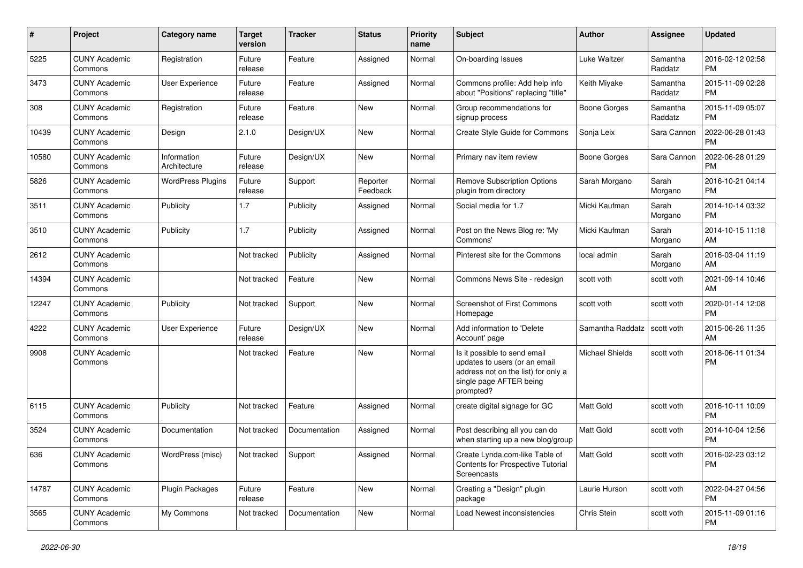| #     | Project                         | <b>Category name</b>        | <b>Target</b><br>version | <b>Tracker</b> | <b>Status</b>        | <b>Priority</b><br>name | <b>Subject</b>                                                                                                                               | Author                 | Assignee            | <b>Updated</b>                |
|-------|---------------------------------|-----------------------------|--------------------------|----------------|----------------------|-------------------------|----------------------------------------------------------------------------------------------------------------------------------------------|------------------------|---------------------|-------------------------------|
| 5225  | <b>CUNY Academic</b><br>Commons | Registration                | Future<br>release        | Feature        | Assigned             | Normal                  | On-boarding Issues                                                                                                                           | Luke Waltzer           | Samantha<br>Raddatz | 2016-02-12 02:58<br>PM.       |
| 3473  | <b>CUNY Academic</b><br>Commons | User Experience             | Future<br>release        | Feature        | Assigned             | Normal                  | Commons profile: Add help info<br>about "Positions" replacing "title"                                                                        | Keith Miyake           | Samantha<br>Raddatz | 2015-11-09 02:28<br><b>PM</b> |
| 308   | <b>CUNY Academic</b><br>Commons | Registration                | Future<br>release        | Feature        | <b>New</b>           | Normal                  | Group recommendations for<br>signup process                                                                                                  | Boone Gorges           | Samantha<br>Raddatz | 2015-11-09 05:07<br><b>PM</b> |
| 10439 | <b>CUNY Academic</b><br>Commons | Design                      | 2.1.0                    | Design/UX      | <b>New</b>           | Normal                  | Create Style Guide for Commons                                                                                                               | Sonja Leix             | Sara Cannon         | 2022-06-28 01:43<br><b>PM</b> |
| 10580 | <b>CUNY Academic</b><br>Commons | Information<br>Architecture | Future<br>release        | Design/UX      | New                  | Normal                  | Primary nav item review                                                                                                                      | <b>Boone Gorges</b>    | Sara Cannon         | 2022-06-28 01:29<br><b>PM</b> |
| 5826  | <b>CUNY Academic</b><br>Commons | <b>WordPress Plugins</b>    | Future<br>release        | Support        | Reporter<br>Feedback | Normal                  | <b>Remove Subscription Options</b><br>plugin from directory                                                                                  | Sarah Morgano          | Sarah<br>Morgano    | 2016-10-21 04:14<br><b>PM</b> |
| 3511  | <b>CUNY Academic</b><br>Commons | Publicity                   | 1.7                      | Publicity      | Assigned             | Normal                  | Social media for 1.7                                                                                                                         | Micki Kaufman          | Sarah<br>Morgano    | 2014-10-14 03:32<br><b>PM</b> |
| 3510  | <b>CUNY Academic</b><br>Commons | Publicity                   | 1.7                      | Publicity      | Assigned             | Normal                  | Post on the News Blog re: 'My<br>Commons'                                                                                                    | Micki Kaufman          | Sarah<br>Morgano    | 2014-10-15 11:18<br>AM        |
| 2612  | <b>CUNY Academic</b><br>Commons |                             | Not tracked              | Publicity      | Assigned             | Normal                  | Pinterest site for the Commons                                                                                                               | local admin            | Sarah<br>Morgano    | 2016-03-04 11:19<br>AM        |
| 14394 | <b>CUNY Academic</b><br>Commons |                             | Not tracked              | Feature        | <b>New</b>           | Normal                  | Commons News Site - redesign                                                                                                                 | scott voth             | scott voth          | 2021-09-14 10:46<br>AM        |
| 12247 | <b>CUNY Academic</b><br>Commons | Publicity                   | Not tracked              | Support        | <b>New</b>           | Normal                  | <b>Screenshot of First Commons</b><br>Homepage                                                                                               | scott voth             | scott voth          | 2020-01-14 12:08<br><b>PM</b> |
| 4222  | <b>CUNY Academic</b><br>Commons | User Experience             | Future<br>release        | Design/UX      | <b>New</b>           | Normal                  | Add information to 'Delete<br>Account' page                                                                                                  | Samantha Raddatz       | scott voth          | 2015-06-26 11:35<br>AM        |
| 9908  | <b>CUNY Academic</b><br>Commons |                             | Not tracked              | Feature        | New                  | Normal                  | Is it possible to send email<br>updates to users (or an email<br>address not on the list) for only a<br>single page AFTER being<br>prompted? | <b>Michael Shields</b> | scott voth          | 2018-06-11 01:34<br>PM        |
| 6115  | <b>CUNY Academic</b><br>Commons | Publicity                   | Not tracked              | Feature        | Assigned             | Normal                  | create digital signage for GC                                                                                                                | <b>Matt Gold</b>       | scott voth          | 2016-10-11 10:09<br><b>PM</b> |
| 3524  | <b>CUNY Academic</b><br>Commons | Documentation               | Not tracked              | Documentation  | Assigned             | Normal                  | Post describing all you can do<br>when starting up a new blog/group                                                                          | <b>Matt Gold</b>       | scott voth          | 2014-10-04 12:56<br><b>PM</b> |
| 636   | <b>CUNY Academic</b><br>Commons | WordPress (misc)            | Not tracked Support      |                | Assigned             | Normal                  | Create Lynda.com-like Table of<br><b>Contents for Prospective Tutorial</b><br>Screencasts                                                    | Matt Gold              | scott voth          | 2016-02-23 03:12<br>PM.       |
| 14787 | <b>CUNY Academic</b><br>Commons | <b>Plugin Packages</b>      | Future<br>release        | Feature        | New                  | Normal                  | Creating a "Design" plugin<br>package                                                                                                        | Laurie Hurson          | scott voth          | 2022-04-27 04:56<br><b>PM</b> |
| 3565  | <b>CUNY Academic</b><br>Commons | My Commons                  | Not tracked              | Documentation  | New                  | Normal                  | Load Newest inconsistencies                                                                                                                  | Chris Stein            | scott voth          | 2015-11-09 01:16<br><b>PM</b> |